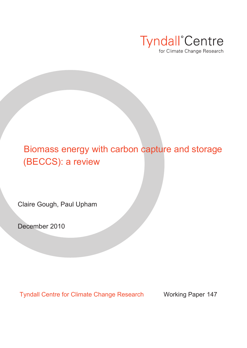

# Biomass energy with carbon capture and storage (BECCS): a review

Claire Gough, Paul Upham

December 2010

Tyndall Centre for Climate Change Research Working Paper 147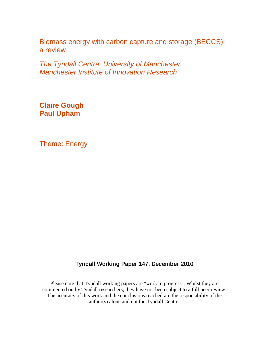Biomass energy with carbon capture and storage (BECCS): a review

*The Tyndall Centre, University of Manchester Manchester Institute of Innovation Research*

**Claire Gough Paul Upham**

Theme: Energy

### Tyndall Working Paper 147, December 2010

Please note that Tyndall working papers are "work in progress". Whilst they are commented on by Tyndall researchers, they have not been subject to a full peer review. The accuracy of this work and the conclusions reached are the responsibility of the author(s) alone and not the Tyndall Centre.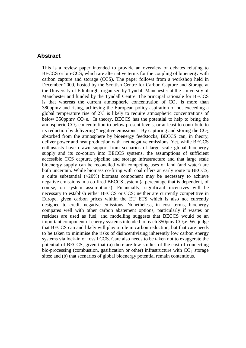### **Abstract**

This is a review paper intended to provide an overview of debates relating to BECCS or bio-CCS, which are alternative terms for the coupling of bioenergy with carbon capture and storage (CCS). The paper follows from a workshop held in December 2009, hosted by the Scottish Centre for Carbon Capture and Storage at the University of Edinburgh, organised by Tyndall Manchester at the University of Manchester and funded by the Tyndall Centre. The principal rationale for BECCS is that whereas the current atmospheric concentration of  $CO<sub>2</sub>$  is more than 380ppmv and rising, achieving the European policy aspiration of not exceeding a global temperature rise of 2℃ is likely to require atmospheric concentrations of below 350ppmv  $CO<sub>2</sub>e$ . In theory, BECCS has the potential to help to bring the atmospheric  $CO<sub>2</sub>$  concentration to below present levels, or at least to contribute to its reduction by delivering "negative emissions". By capturing and storing the  $CO<sub>2</sub>$ absorbed from the atmosphere by bioenergy feedstocks, BECCS can, in theory, deliver power and heat production with net negative emissions. Yet, while BECCS enthusiasts have drawn support from scenarios of large scale global bioenergy supply and its co-option into BECCS systems, the assumptions of sufficient accessible CCS capture, pipeline and storage infrastructure and that large scale bioenergy supply can be reconciled with competing uses of land (and water) are both uncertain. While biomass co-firing with coal offers an early route to BECCS, a quite substantial (>20%) biomass component may be necessary to achieve negative emissions in a co-fired BECCS system (a percentage that is dependent, of course, on system assumptions). Financially, significant incentives will be necessary to establish either BECCS or CCS; neither are currently competitive in Europe, given carbon prices within the EU ETS which is also not currently designed to credit negative emissions. Nonetheless, in cost terms, bioenergy compares well with other carbon abatement options, particularly if wastes or residues are used as fuel, and modelling suggests that BECCS would be an important component of energy systems intended to reach  $350 \text{pmv CO}_2$ e. We judge that BECCS can and likely will play a role in carbon reduction, but that care needs to be taken to minimise the risks of disincentivising inherently low carbon energy systems via lock-in of fossil CCS. Care also needs to be taken not to exaggerate the potential of BECCS, given that (a) there are few studies of the cost of connecting bio-processing (combustion, gasification or other) infrastructure with  $CO<sub>2</sub>$  storage sites; and (b) that scenarios of global bioenergy potential remain contentious.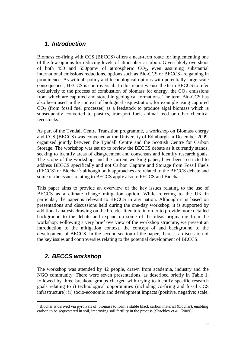### *1. Introduction*

Biomass co-firing with CCS (BECCS) offers a near-term route for implementing one of the few options for reducing levels of atmospheric carbon. Given likely overshoot of both 450 and 550ppmy of atmospheric  $CO<sub>2</sub>$ , even assuming substantial international emissions reductions, options such as Bio-CCS or BECCS are gaining in prominence. As with all policy and technological options with potentially large-scale consequences, BECCS is controversial. In this report we use the term BECCS to refer exclusively to the process of combustion of biomass for energy, the  $CO<sub>2</sub>$  emissions from which are captured and stored in geological formations. The term Bio-CCS has also been used in the context of biological sequestration, for example using captured  $CO<sub>2</sub>$  (from fossil fuel processes) as a feedstock to produce algal biomass which is subsequently converted to plastics, transport fuel, animal feed or other chemical feedstocks.

As part of the Tyndall Centre Transition programme, a workshop on Biomass energy and CCS (BECCS) was convened at the University of Edinburgh in December 2009, organised jointly between the Tyndall Centre and the Scottish Centre for Carbon Storage. The workshop was set up to review the BECCS debate as it currently stands, seeking to identify areas of disagreement and consensus and identify research goals. The scope of the workshop, and the current working paper, have been restricted to address BECCS specifically and not Carbon Capture and Storage from Fossil Fuels (FECCS) or Biochar<sup>[1](#page-3-0)</sup>; although both approaches are related to the BECCS debate and some of the issues relating to BECCS apply also to FECCS and Biochar.

This paper aims to provide an overview of the key issues relating to the use of BECCS as a climate change mitigation option. While referring to the UK in particular, the paper is relevant to BECCS in any nation. Although it is based on presentations and discussions held during the one-day workshop, it is supported by additional analysis drawing on the broader literature in order to provide more detailed background to the debate and expand on some of the ideas originating from the workshop. Following a very brief overview of the workshop structure, we present an introduction to the mitigation context, the concept of and background to the development of BECCS. In the second section of the paper, there is a discussion of the key issues and controversies relating to the potential development of BECCS.

### *2. BECCS workshop*

The workshop was attended by 42 people, drawn from academia, industry and the NGO community. There were seven presentations, as described briefly in Table 1, followed by three breakout groups charged with trying to identify specific research goals relating to i) technological opportunities (including co-firing and fossil CCS infrastructure); ii) socio-economic and development impacts (positive, negative; scale,

<span id="page-3-0"></span> $<sup>1</sup>$  Biochar is derived via pyrolysis of biomass to form a stable black carbon material (biochar), enabling</sup> carbon to be sequestered in soil, improving soil fertility in the process (Shackley *et al.* (2009).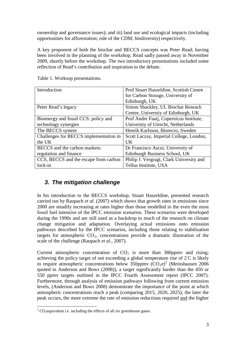ownership and governance issues); and iii) land use and ecological impacts (including opportunities for afforestation; role of the CDM; biodiversity) respectively.

A key proponent of both the biochar and BECCS concepts was Peter Read; having been involved in the planning of the workshop, Read sadly passed away in November 2009, shortly before the workshop. The two introductory presentations included some reflection of Read's contribution and inspiration to the debate.

| Introduction                           | Prof Stuart Haszeldine, Scottish Centre  |
|----------------------------------------|------------------------------------------|
|                                        | for Carbon Storage, University of        |
|                                        | Edinburgh, UK                            |
| Peter Read's legacy                    | Simon Shackley, UL Biochar Reseach       |
|                                        | Centre, Universtiy of Edinburgh, UK      |
| Bioenergy and fossil CCS: policy and   | Prof Andre Faaij, Copernicus Institute,  |
| technology synergies                   | University of Utrecht, Netherlands       |
| The BECCS system                       | Henrik Karlsson, Biorecro, Sweden        |
| Challenges for BECCS implementation in | Scott Laczay, Imperial College, London,  |
| the UK                                 | UK                                       |
| BECCS and the carbon markets:          | Dr Francisco Ascui, University of        |
| regulation and finance                 | Edinburgh Business School, UK            |
| CCS, BECCS and the escape from carbon  | Philip J. Vergragt, Clark University and |
| $lock-in$                              | Tellus Institute, USA                    |

Table 1. Worksop presentations.

### *3. The mitigation challenge*

In his introduction to the BECCS workshop, Stuart Haszeldine, presented research carried out by Raupach *et al.* (2007) which shows that growth rates in emissions since 2000 are steadily increasing at rates higher than those modelled in the even the most fossil fuel intensive of the IPCC emission scenarios. These scenarios were developed during the 1990s and are still used as a backdrop to much of the research on climate change mitigation and adaptation. Overlaying actual emissions onto emission pathways described by the IPCC scenarios, including those relating to stabilisation targets for atmospheric  $CO<sub>2</sub>$ , concentrations provide a dramatic illustration of the scale of the challenge (Raupach *et al.*, 2007).

Current atmospheric concentration of  $CO<sub>2</sub>$  is more than 380ppmy and rising; achieving the policy target of not exceeding a global temperature rise of  $2^{\circ}C$  is likely to require atmospheric concentrations below  $350$ ppmv  $(CO_2e)^2$  $(CO_2e)^2$  $(CO_2e)^2$  (Meinshausen 2006) quoted in Anderson and Bows (2008)), a target significantly harder than the 450 or 550 ppmv targets outlined in the IPCC Fourth Assessment report (IPCC 2007). Furthermore, through analysis of emission pathways following from current emission levels, (Anderson and Bows 2008) demonstrate the importance of the point at which atmospheric concentrations reach a peak (comparing 2015, 2020, 2025); the later the peak occurs, the more extreme the rate of emission reductions required and the higher

<span id="page-4-0"></span><sup>&</sup>lt;sup>2</sup> CO<sub>2</sub> equivalent i.e. including the effects of all six greenhouse gases.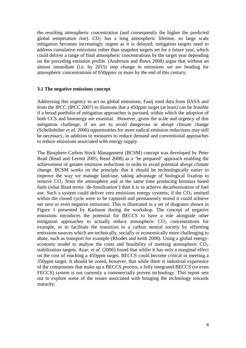the resulting atmospheric concentration (and consequently the higher the predicted global temperature rise).  $CO<sub>2</sub>$  has a long atmospheric lifetime, so large scale mitigation becomes increasingly urgent as it is delayed; mitigation targets need to address cumulative emissions rather than snapshot targets set for a future year, which could deliver a range of final atmospheric concentrations by the target year depending on the preceding emission profile. (Anderson and Bows 2008) argue that without an almost immediate (i.e. by 2015) step change in emissions we are heading for atmospheric concentrations of 650ppmv or more by the end of this century.

#### **3.1 The negative emissions concept**

Addressing this urgency to act on global emissions, Faaij used data from IIASA and from the IPCC (IPCC 2007) to illustrate that a 450ppm target (at least) can be feasible if a broad portfolio of mitigation approaches is pursued, within which the adoption of both CCS and bioenergy are essential. However, given the scale and urgency of this mitigation challenge, if we are to avoid dangerous or abrupt climate change (Schellnhuber *et al.* 2006) opportunities for more radical emission reductions may still be necessary, in addition to measures to reduce demand and conventional approaches to reduce emissions associated with energy supply.

The Biosphere Carbon Stock Management (BCSM) concept was developed by Peter Read (Read and Lermit 2005; Read 2008) as a 'be prepared' approach enabling the achievement of greater emission reductions in order to avoid potential abrupt climate change. BCSM works on the principle that it should be technologically easier to improve the way we manage land-use, taking advantage of biological fixation to remove  $CO<sub>2</sub>$  from the atmosphere and at the same time producing biomass based fuels (what Read terms 'de-fossilisation') than it is to achieve decarbonisation of fuel use. Such a system could deliver zero emissions energy systems; if the  $CO<sub>2</sub>$  emitted within the closed cycle were to be captured and permanently stored it could achieve net zero or even negative emissions. This is illustrated in a set of diagrams shown in Figure 1 presented by Karlsson during the workshop. The concept of negative emissions introduces the potential for BECCS to have a role alongside other mitigation approaches to actually reduce atmospheric  $CO<sub>2</sub>$  concentrations for example, or to facilitate the transition to a carbon neutral society by offsetting emissions sources which are technically, socially or economically more challenging to abate, such as transport for example (Rhodes and keith 2008). Using a global energyeconomy model to analyse the costs and feasibility of meeting atmospheric  $CO<sub>2</sub>$ stabilisation targets, Azar, *et al.* (2006) found that whilst it has only a marginal effect on the cost of reaching a 450ppm target, BECCS could become critical in meeting a 350ppm target. It should be noted, however, that while there is industrial experience of the components that make up a BECCS process, a fully integrated BECCS (or even FECCS) system is not currently a commercially proven technology. This report sets out to explore some of the issues associated with bringing the technology towards maturity.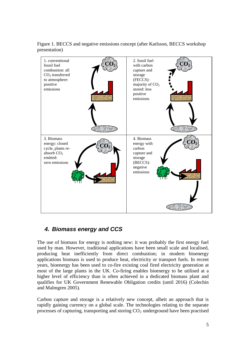Figure 1. BECCS and negative emissions concept (after Karlsson, BECCS workshop presentation)



# *4. Biomass energy and CCS*

The use of biomass for energy is nothing new: it was probably the first energy fuel used by man. However, traditional applications have been small scale and localised, producing heat inefficiently from direct combustion; in modern bioenergy applications biomass is used to produce heat, electricity or transport fuels. In recent years, bioenergy has been used to co-fire existing coal fired electricity generation at most of the large plants in the UK. Co-firing enables bioenergy to be utilised at a higher level of efficiency than is often achieved in a dedicated biomass plant and qualifies for UK Government Renewable Obligation credits (until 2016) (Colechin and Malmgren 2005).

Carbon capture and storage is a relatively new concept, albeit an approach that is rapidly gaining currency on a global scale. The technologies relating to the separate processes of capturing, transporting and storing  $CO<sub>2</sub>$  underground have been practised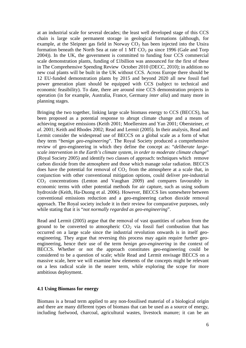at an industrial scale for several decades; the least well developed stage of this CCS chain is large scale permanent storage in geological formations (although, for example, at the Sleipner gas field in Norway  $CO<sub>2</sub>$  has been injected into the Utsira formation beneath the North Sea at rate of  $1 \text{ MT } CO_2$  pa since 1996 (Gale and Torp 2004)). In the UK, the government is committed to funding four CCS commercial scale demonstration plants, funding of £1billion was announced for the first of these in The Comprehensive Spending Review October 2010 (DECC, 2010); in addition no new coal plants will be built in the UK without CCS. Across Europe there should be 12 EU-funded demonstration plants by 2015 and beyond 2020 all new fossil fuel power generation plant should be equipped with CCS (subject to technical and economic feasibility). To date, there are around nine CCS demonstration projects in operation (in for example, Australia, France, Germany *inter alia*) and many more in planning stages.

Bringing the two together, linking large scale biomass energy to CCS (BECCS), has been proposed as a potential response to abrupt climate change and a means of achieving negative emissions (Keith 2001; Moellersten and Yan 2001; Obersteiner, *et al*. 2001; Keith and Rhodes 2002; Read and Lermit (2005). In their analysis, Read and Lermit consider the widespread use of BECCS on a global scale as a form of what they term "*benign geo-engineering*". The Royal Society produced a comprehensive review of geo-engineering in which they define the concept as: "*deliberate largescale intervention in the Earth's climate system, in order to moderate climate change*" (Royal Society 2005) and identify two classes of approach: techniques which remove carbon dioxide from the atmosphere and those which manage solar radiation. BECCS does have the potential for removal of  $CO<sub>2</sub>$  from the atmosphere at a scale that, in conjunction with other conventional mitigation options, could deliver pre-industrial  $CO<sub>2</sub>$  concentrations (Lenton and Vaughan 2009) and compares favourably in economic terms with other potential methods for air capture, such as using sodium hydroxide (Keith, Ha-Duong et al. 2006). However, BECCS lies somewhere between conventional emissions reduction and a geo-engineering carbon dioxide removal approach. The Royal society include it in their review for comparative purposes, only while stating that it is "*not normally regarded as geo-engineering*".

Read and Lermit (2005) argue that the removal of vast quantities of carbon from the ground to be converted to atmospheric  $CO<sub>2</sub>$  via fossil fuel combustion that has occurred on a large scale since the industrial revolution onwards is in itself geoengineering. They argue that reversing this process may again require further geoengineering, hence their use of the term *benign geo-engineering* in the context of BECCS. Whether or not the approach constitutes geo-engineering could be considered to be a question of scale; while Read and Lermit envisage BECCS on a massive scale, here we will examine how elements of the concepts might be relevant on a less radical scale in the nearer term, while exploring the scope for more ambitious deployment.

#### **4.1 Using Biomass for energy**

Biomass is a broad term applied to any non-fossilised material of a biological origin and there are many different types of biomass that can be used as a source of energy, including fuelwood, charcoal, agricultural wastes, livestock manure; it can be an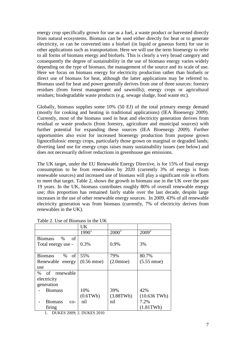energy crop specifically grown for use as a fuel, a waste product or harvested directly from natural ecosystems. Biomass can be used either directly for heat or to generate electricity, or can be converted into a biofuel (in liquid or gaseous form) for use in other applications such as transportation. Here we will use the term bioenergy to refer to all forms of biomass energy and biofuels. This is clearly a very broad category and consequently the degree of sustainability in the use of biomass energy varies widely depending on the type of biomass, the management of the source and its scale of use. Here we focus on biomass energy for electricity production rather than biofuels or direct use of biomass for heat, although the latter applications may be referred to. Biomass used for heat and power generally derives from one of three sources: forestry residues (from forest management and sawmills); energy crops or agricultural residues; biodegradable waste products (e.g. sewage sludge, food waste etc).

Globally, biomass supplies some 10% (50 EJ) of the total primary energy demand (mostly for cooking and heating in traditional applications) (IEA Bioenergy 2009). Currently, most of the biomass used in heat and electricity generation derives from residual or waste products (from forestry, agriculture and municipal sources) with further potential for expanding these sources (IEA Bioenergy 2009). Further opportunities also exist for increased bioenergy production from purpose grown lignocellulosic energy crops, particularly those grown on marginal or degraded lands; diverting land use for energy crops raises many sustainability issues (see below) and does not necessarily deliver reductions in greenhouse gas emissions.

The UK target, under the EU Renewable Energy Directive, is for 15% of final energy consumption to be from renewables by 2020 (currently 3% of energy is from renewable sources) and increased use of biomass will play a significant role in efforts to meet that target. Table 2, shows the growth in biomass use in the UK over the past 19 years. In the UK, biomass contributes roughly 80% of overall renewable energy use; this proportion has remained fairly stable over the last decade, despite large increases in the use of other renewable energy sources. In 2009, 43% of all renewable electricity generation was from biomass (currently, 7% of electricity derives from renewables in the UK).

|                               | UK                    |                 |                |
|-------------------------------|-----------------------|-----------------|----------------|
|                               | $1990^1$              | $2000^1$        | $2009^2$       |
| <b>Biomass</b><br>$\%$<br>-of |                       |                 |                |
| Total energy use -            | 0.3%                  | 0.9%            | 3%             |
|                               |                       |                 |                |
| of<br><b>Biomass</b><br>$\%$  | 55%                   | 79%             | 80.7%          |
| Renewable energy              | $(0.56 \text{ mtoe})$ | $(2.0m$ toe $)$ | $(5.55$ mtoe)  |
| use                           |                       |                 |                |
| of renewable<br>%             |                       |                 |                |
| electricity                   |                       |                 |                |
| generation                    |                       |                 |                |
| <b>Biomass</b>                | 10%                   | 39%             | 42%            |
|                               | (0.6TWh)              | (3.88TWh)       | $(10.636)$ TWh |
| <b>Biomass</b><br>$CO-$       | nil                   | nil             | 7.2%           |
| firing                        |                       |                 | (1.81TWh)      |

Table 2. Use of Biomass in the UK

1. DUKES 2009; 2. DUKES 2010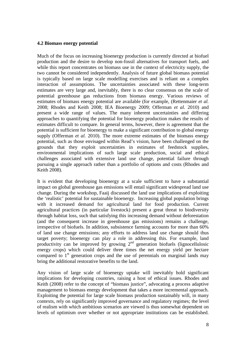#### **4.2 Biomass energy potential**

Much of the focus on increasing bioenergy production is currently directed at biofuel production and the desire to develop non-fossil alternatives for transport fuels, and while this report concentrates on biomass use in the context of electricity supply, the two cannot be considered independently. Analysis of future global biomass potential is typically based on large scale modelling exercises and is reliant on a complex interaction of assumptions. The uncertainties associated with these long-term estimates are very large and, inevitably, there is no clear consensus on the scale of potential greenhouse gas reductions from biomass energy. Various reviews of estimates of biomass energy potential are available (for example, (Rettenmaier *et al.* 2008; Rhodes and Keith 2008; IEA Bioenergy 2009; Offerman *et al.* 2010) and present a wide range of values. The many inherent uncertainties and differing approaches to quantifying the potential for bioenergy production makes the results of estimates difficult to compare. In general terms, however, there is agreement that the potential is sufficient for bioenergy to make a significant contribution to global energy supply (Offerman *et al.* 2010). The more extreme estimates of the biomass energy potential, such as those envisaged within Read's vision, have been challenged on the grounds that they exploit uncertainties in estimates of feedstock supplies, environmental implications of such large scale production, social and ethical challenges associated with extensive land use change, potential failure through pursuing a single approach rather than a portfolio of options and costs (Rhodes and Keith 2008).

It is evident that developing bioenergy at a scale sufficient to have a substantial impact on global greenhouse gas emissions will entail significant widespread land use change. During the workshop, Faaij discussed the land use implications of exploiting the 'realistic' potential for sustainable bioenergy. Increasing global population brings with it increased demand for agricultural land for food production. Current agricultural practices (in particular livestock) present a great threat to biodiversity through habitat loss, such that satisfying this increasing demand without deforestation (and the consequent increase in greenhouse gas emissions) remains a challenge, irrespective of biofuels. In addition, subsistence farming accounts for more than 60% of land use change emissions; any efforts to address land use change should thus target poverty; bioenergy can play a role in addressing this. For example, land productivity can be improved by growing  $2<sup>nd</sup>$  generation biofuels (lignocellulosic energy crops) which could deliver three times the net energy yield per hectare compared to  $1<sup>st</sup>$  generation crops and the use of perennials on marginal lands may bring the additional restorative benefits to the land.

Any vision of large scale of bioenergy uptake will inevitably hold significant implications for developing countries, raising a host of ethical issues. Rhodes and Keith (2008) refer to the concept of "biomass justice", advocating a process adaptive management to biomass energy development that takes a more incremental approach. Exploiting the potential for large scale biomass production sustainably will, in many contexts, rely on significantly improved governance and regulatory regimes; the level of realism with which ambitious scenarios are viewed is thus somewhat dependent on levels of optimism over whether or not appropriate institutions can be established.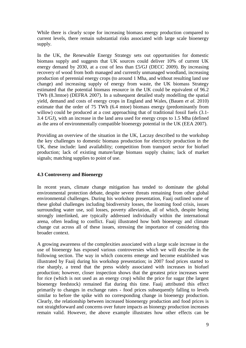While there is clearly scope for increasing biomass energy production compared to current levels, there remain substantial risks associated with large scale bioenergy supply.

In the UK, the Renewable Energy Strategy sets out opportunities for domestic biomass supply and suggests that UK sources could deliver 10% of current UK energy demand by 2030, at a cost of less than £5/GJ (DECC 2009). By increasing recovery of wood from both managed and currently unmanaged woodland, increasing production of perennial energy crops (to around 1 Mha, and without resulting land use change) and increasing supply of energy from waste, the UK biomass Strategy estimated that the potential biomass resource in the UK could be equivalent of 96.2 TWh (8.3mtoe) (DEFRA 2007). In a subsequent detailed study modelling the spatial yield, demand and costs of energy crops in England and Wales, (Bauen *et al.* 2010) estimate that the order of 75 TWh (6.4 mtoe) biomass energy (predominantly from willow) could be produced at a cost approaching that of traditional fossil fuels  $(3.1-\alpha)$ 3.4 £/GJ), with an increase in the land area used for energy crops to 1.5 Mha (defined as the area of environmentally compatible bioenergy potential in the UK (EEA 2007).

Providing an overview of the situation in the UK, Laczay described to the workshop the key challenges to domestic biomass production for electricity production in the UK, these include: land availability; competition from transport sector for biofuel production; lack of existing mature/large biomass supply chains; lack of market signals; matching supplies to point of use.

### **4.3 Controversy and Bioenergy**

In recent years, climate change mitigation has tended to dominate the global environmental protection debate, despite severe threats remaining from other global environmental challenges. During his workshop presentation, Faaij outlined some of these global challenges including biodiversity losses, the looming food crisis, issues surrounding water use, soil losses, poverty alleviation, all of which, despite being strongly interlinked, are typically addressed individually within the international arena, often leading to conflict. Faaij illustrated how both bioenergy and climate change cut across all of these issues, stressing the importance of considering this broader context.

A growing awareness of the complexities associated with a large scale increase in the use of bioenergy has exposed various controversies which we will describe in the following section. The way in which concerns emerge and become established was illustrated by Faaij during his workshop presentation; in 2007 food prices started to rise sharply, a trend that the press widely associated with increases in biofuel production; however, closer inspection shows that the greatest price increases were for rice (which is not used as an energy crop) whilst the price for sugar (the largest bioenergy feedstock) remained flat during this time. Faaij attributed this effect primarily to changes in exchange rates - food prices subsequently falling to levels similar to before the spike with no corresponding change in bioenergy production. Clearly, the relationship between increased bionenergy production and food prices is not straightforward and concerns over future impacts as bionergy production increases remain valid. However, the above example illustrates how other effects can be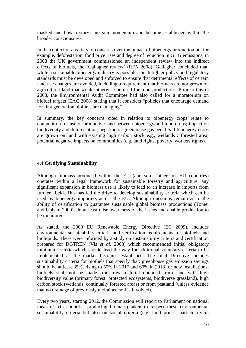masked and how a story can gain momentum and become established within the broader consciousness.

In the context of a variety of concerns over the impact of bioenergy production on, for example, deforestation, food price rises and degree of reduction in GHG emissions, in 2008 the UK government commissioned an independent review into the indirect effects of biofuels, the 'Gallagher review' (RFA 2008). Gallagher concluded that, while a sustainable bioenergy industry is possible, much tighter policy and regulatory standards must be developed and enforced to ensure that detrimental effects of certain land use changes are avoided, including a requirement that biofuels are not grown on agricultural land that would otherwise be used for food production. Prior to this in 2008, the Environmental Audit Committee had also called for a moratorium on biofuel targets (EAC 2008) stating that it considers "policies that encourage demand for first generation biofuels are damaging".

In summary, the key concerns cited in relation to bioenergy crops relate to competition for use of productive land between bioenergy and food crops; impact on biodiversity and deforestation; negation of greenhouse gas benefits if bioenergy crops are grown on land with existing high carbon stock e.g., wetlands / forested area; potential negative impacts on communities (e.g. land rights, poverty, workers rights).

### **4.4 Certifying Sustainability**

Although biomass produced within the EU (and some other non-EU countries) operates within a legal framework for sustainable forestry and agriculture, any significant expansion in biomass use is likely to lead to an increase in imports from further afield. This has led the drive to develop sustainability criteria which can be used by bioenergy importers across the EU. Although questions remain as to the ability of certification to guarantee sustainable global biomass productions (Tomei and Upham 2009), do at least raise awareness of the issues and enable production to be monitored.

As stated, the 2009 EU Renewable Energy Directive (EC 2009), includes environmental sustainability criteria and verification requirements for biofuels and bioliquids. These were informed by a study on sustainability criteria and certification prepared for DGTREN (Vis *et al.* 2008) which recommended initial obligatory minimum criteria which should lead the way for additional voluntary criteria to be implemented as the market becomes established. The final Directive includes sustainability criteria for biofuels that specify that: greenhouse gas emission savings should be at least 35%, rising to 50% in 2017 and 60% in 2018 for new installations; biofuels shall not be made from raw material obtained from land with high biodiversity value (primary forest, protected ecosystems, biodiverse grassland), high carbon stock (wetlands, continually forested areas) or from peatland (unless evidence that no drainage of previously undrained soil is involved).

Every two years, starting 2012, the Commission will report to Parliament on national measures (in countries producing biomass) taken to respect these environmental sustainability criteria but also on social criteria (e.g. food prices, particularly in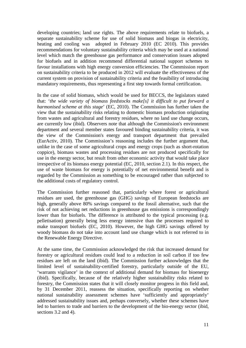developing countries; land use rights. The above requirements relate to biofuels, a separate sustainability scheme for use of solid biomass and biogas in electricity, heating and cooling was adopted in February 2010 (EC 2010). This provides recommendations for voluntary sustainability criteria which may be used at a national level which match the greenhouse gas performance and conservation issues adopted for biofuels and in addition recommend differential national support schemes to favour installations with high energy conversion efficiencies. The Commission report on sustainability criteria to be produced in 2012 will evaluate the effectiveness of the current system on provision of sustainability criteria and the feasibility of introducing mandatory requirements, thus representing a first step towards formal certification.

In the case of solid biomass, which would be used for BECCS, the legislators stated that: '*the wide variety of biomass feedstocks make[s] it difficult to put forward a harmonised scheme at this stage*' (EC, 2010). The Commission has further taken the view that the sustainability risks relating to domestic biomass production originating from wastes and agricultural and forestry residues, where no land use change occurs, are currently low (ibid). Observers note that although the Commission's environment department and several member states favoured binding sustainability criteria, it was the view of the Commission's energy and transport department that prevailed (EurActiv, 2010). The Commission's reasoning includes the further argument that, unlike in the case of some agricultural crops and energy crops (such as short-rotation coppice), biomass wastes and processing residues are not produced specifically for use in the energy sector, but result from other economic activity that would take place irrespective of its biomass energy potential (EC, 2010, section 2.1). In this respect, the use of waste biomass for energy is potentially of net environmental benefit and is regarded by the Commission as something to be encouraged rather than subjected to the additional costs of regulatory control.

The Commission further reasoned that, particularly where forest or agricultural residues are used, the greenhouse gas (GHG) savings of European feedstocks are high, generally above 80% savings compared to the fossil alternative, such that the risk of not achieving net reductions in greenhouse gas emissions is correspondingly lower than for biofuels. The difference is attributed to the typical processing (e.g. pelletisation) generally being less energy intensive than the processes required to make transport biofuels (EC, 2010). However, the high GHG savings offered by woody biomass do not take into account land use change which is not referred to in the Renewable Energy Directive.

At the same time, the Commission acknowledged the risk that increased demand for forestry or agricultural residues could lead to a reduction in soil carbon if too few residues are left on the land (ibid). The Commission further acknowledges that the limited level of sustainability-certified forestry, particularly outside of the EU, 'warrants vigilance' in the context of additional demand for biomass for bioenergy (ibid). Specifically, because of the relatively higher sustainability risks related to forestry, the Commission states that it will closely monitor progress in this field and, by 31 December 2011, reassess the situation, specifically reporting on whether national sustainability assessment schemes have 'sufficiently and appropriately' addressed sustainability issues and, perhaps conversely, whether these schemes have led to barriers to trade and barriers to the development of the bio-energy sector (ibid, sections 3.2 and 4).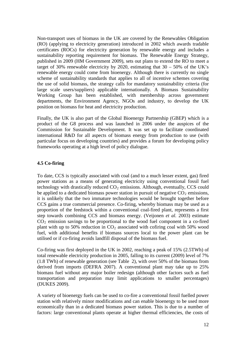Non-transport uses of biomass in the UK are covered by the Renewables Obligation (RO) (applying to electricity generation) introduced in 2002 which awards tradable certificates (ROCs) for electricity generation by renewable energy and includes a sustainability reporting requirement for biomass. The Renewable Energy Strategy, published in 2009 (HM Government 2009), sets out plans to extend the RO to meet a target of 30% renewable electricity by 2020, estimating that  $30 - 50\%$  of the UK's renewable energy could come from bioenergy. Although there is currently no single scheme of sustainability standards that applies to all of incentive schemes covering the use of solid biomass, the strategy calls for mandatory sustainability criteria (for large scale users/suppliers) applicable internationally. A Biomass Sustainability Working Group has been established, with membership across government departments, the Environment Agency, NGOs and industry, to develop the UK position on biomass for heat and electricity production.

Finally, the UK is also part of the Global Bioenergy Partnership (GBEP) which is a product of the G8 process and was launched in 2006 under the auspices of the Commission for Sustainable Development. It was set up to facilitate coordinated international R&D for all aspects of biomass energy from production to use (with particular focus on developing countries) and provides a forum for developing policy frameworks operating at a high level of policy dialogue.

### **4.5 Co-firing**

To date, CCS is typically associated with coal (and to a much lesser extent, gas) fired power stations as a means of generating electricity using conventional fossil fuel technology with drastically reduced  $CO<sub>2</sub>$  emissions. Although, eventually, CCS could be applied to a dedicated biomass power station in pursuit of negative  $CO<sub>2</sub>$  emissions, it is unlikely that the two immature technologies would be brought together before CCS gains a true commercial presence. Co-firing, whereby biomass may be used as a proportion of the feedstock within a conventional coal-fired plant, represents a first step towards combining CCS and biomass energy. (Veijonen *et al.* 2003) estimate  $CO<sub>2</sub>$  emission savings to be proportional to the wood fuel component in a co-fired plant with up to 50% reduction in  $CO<sub>2</sub>$  associated with cofiring coal with 50% wood fuel, with additional benefits if biomass sources local to the power plant can be utilised or if co-firing avoids landfill disposal of the biomass fuel.

Co-firing was first deployed in the UK in 2002, reaching a peak of 15% (2.5TWh) of total renewable electricity production in 2005, falling to its current (2009) level of 7% (1.8 TWh) of renewable generation (see Table 2), with over 50% of the biomass from derived from imports (DEFRA 2007). A conventional plant may take up to 25% biomass fuel without any major boiler redesign (although other factors such as fuel transportation and preparation may limit applications to smaller percentages) (DUKES 2009).

A variety of bioenergy fuels can be used to co-fire a conventional fossil fuelled power station with relatively minor modifications and can enable bioenergy to be used more economically than in a dedicated biomass power station. This is due to a number of factors: large conventional plants operate at higher thermal efficiencies, the costs of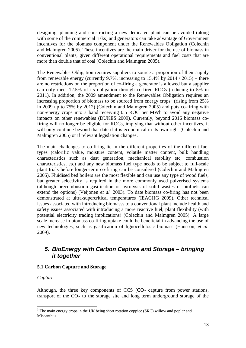designing, planning and constructing a new dedicated plant can be avoided (along with some of the commercial risks) and generators can take advantage of Government incentives for the biomass component under the Renewables Obligation (Colechin and Malmgren 2005). These incentives are the main driver for the use of biomass in conventional plants, given different operational requirements and fuel costs that are more than double that of coal (Colechin and Malmgren 2005).

The Renewables Obligation requires suppliers to source a proportion of their supply from renewable energy (currently 9.7%, increasing to  $15.4\%$  by  $2014 / 2015$ ) – there are no restrictions on the proportion of co-firing a generator is allowed but a supplier can only meet 12.5% of its obligation through co-fired ROCs (reducing to 5% in 2011). In addition, the 2009 amendment to the Renewables Obligation requires an increasing proportion of biomass to be sourced from energy crops<sup>[3](#page-14-0)</sup> (rising from 25%) in 2009 up to 75% by 2012) (Colechin and Malmgren 2005) and puts co-firing with non-energy crops into a band receiving 0.5 ROC per MWh to avoid any negative impacts on other renewables (DUKES 2009). Currently, beyond 2016 biomass cofiring will no longer be eligible for ROCs, implying that without other incentives, it will only continue beyond that date if it is economical in its own right (Colechin and Malmgren 2005) or if relevant legislation changes.

The main challenges to co-firing lie in the different properties of the different fuel types (calorific value, moisture content, volatile matter content, bulk handling characteristics such as dust generation, mechanical stability etc, combustion characteristics, etc) and any new biomass fuel type needs to be subject to full-scale plant trials before longer-term co-firing can be considered (Colechin and Malmgren 2005). Fluidised bed boilers are the most flexible and can use any type of wood fuels, but greater selectivity is required in the more commonly used pulverised systems (although precombustion gasification or pyrolysis of solid wastes or biofuels can extend the options) (Veijonen *et al.* 2003). To date biomass co-firing has not been demonstrated at ultra-supercritical temperatures (IEAGHG 2009). Other technical issues associated with introducing biomasss to a conventional plant include health and safety issues associated with introducing a more reactive fuel; plant flexibility (with potential electricity trading implications) (Colechin and Malmgren 2005). A large scale increase in biomass co-firing uptake could be beneficial in advancing the use of new technologies, such as gasification of lignocellulosic biomass (Hansson, *et al.* 2009).

### *5. BioEnergy with Carbon Capture and Storage – bringing it together*

### **5.1 Carbon Capture and Storage**

### *Capture*

Although, the three key components of  $CCS$   $(CO<sub>2</sub>)$  capture from power stations, transport of the  $CO<sub>2</sub>$  to the storage site and long term underground storage of the

<span id="page-14-0"></span><sup>&</sup>lt;sup>3</sup> The main energy crops in the UK being short rotation coppice (SRC) willow and poplar and Miscanthus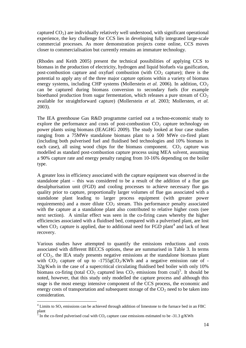captured  $CO<sub>2</sub>$ ) are individually relatively well understood, with significant operational experience, the key challenge for CCS lies in developing fully integrated large-scale commercial processes. As more demonstration projects come online, CCS moves closer to commercialisation but currently remains an immature technology.

(Rhodes and Keith 2005) present the technical possibilities of applying CCS to biomass in the production of electricity, hydrogen and liquid biofuels via gasification, post-combustion capture and oxyfuel combustion (with  $CO<sub>2</sub>$  capture); there is the potential to apply any of the three major capture options within a variety of biomass energy systems, including CHP systems (Mollerstein *et al.* 2006). In addition,  $CO<sub>2</sub>$ can be captured during biomass conversion to secondary fuels (for example bioethanol production from sugar fermentation, which releases a pure stream of  $CO<sub>2</sub>$ available for straightforward capture) (Mollerstein *et al.* 2003; Mollersten, *et al.* 2003).

The IEA greenhouse Gas R&D programme carried out a techno-economic study to explore the performance and costs of post-combustion  $CO<sub>2</sub>$  capture technology on power plants using biomass (IEAGHG 2009). The study looked at four case studies ranging from a 75MWe standalone biomass plant to a 500 MWe co-fired plant (including both pulverised fuel and fluidised bed technologies and 10% biomass in each case), all using wood chips for the biomass component.  $CO<sub>2</sub>$  capture was modelled as standard post-combustion capture process using MEA solvent, assuming a 90% capture rate and energy penalty ranging from 10-16% depending on the boiler type.

A greater loss in efficiency associated with the capture equipment was observed in the standalone plant – this was considered to be a result of the addition of a flue gas desulphurisation unit (FGD) and cooling processes to achieve necessary flue gas quality prior to capture, proportionally larger volumes of flue gas associated with a standalone plant leading to larger process equipment (with greater power requirements) and a more dilute  $CO<sub>2</sub>$  stream. This performance penalty associated with the capture at a standalone plant also contributed to relative higher costs (see next section). A similar effect was seen in the co-firing cases whereby the higher efficiencies associated with a fluidised bed, compared with a pulverised plant, are lost when  $CO_2$  capture is applied, due to additional need for FGD plant<sup>[4](#page-15-0)</sup> and lack of heat recovery.

Various studies have attempted to quantify the emissions reductions and costs associated with different BECCS options, these are summarised in Table 3. In terms of  $CO<sub>2</sub>$ , the IEA study presents negative emissions at the standalone biomass plant with  $CO<sub>2</sub>$  capture of up to  $-1755gCO<sub>2</sub>/KWh$  and a negative emission rate of -32g/Kwh in the case of a supercritical circulating fluidised bed boiler with only 10% biomass co-firing (total  $CO_2$  captured less  $CO_2$  emissions from coal)<sup>[5](#page-15-1)</sup>. It should be noted, however, that this study only modelled the capture process and although this stage is the most energy intensive component of the CCS process, the economic and energy costs of transportation and subsequent storage of the  $CO<sub>2</sub>$  need to be taken into consideration.

<span id="page-15-0"></span><sup>&</sup>lt;sup>4</sup> Limits to SO<sub>y</sub> emissions can be achieved through addition of limestone to the furnace bed in an FBC plant

<span id="page-15-1"></span> $\frac{5}{3}$  In the co-fired pulverised coal with CO<sub>2</sub> capture case emissions estimated to be -31.3 g/KWh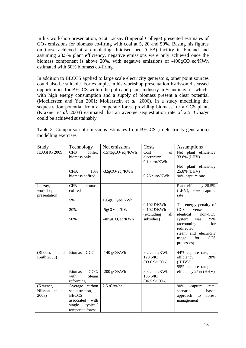In his workshop presentation, Scot Laczay (Imperial College) presented estimates of  $CO<sub>2</sub>$  emissions for biomass co-firing with coal at 5, 20 and 50%. Basing his figures on those achieved at a circulating fluidised bed (CFB) facility in Finland and assuming 28.5% plant efficiency, negative emissions were only achieved once the biomass component is above 20%, with negative emissions of  $-400 \text{g} \text{CO}_2 \text{eq}/\text{KWh}$ estimated with 50% biomass co-firing.

In addition to BECCS applied to large scale electricity generators, other point sources could also be suitable. For example, in his workshop presentation Karlsson discussed opportunities for BECCS within the pulp and paper industry in Scandinavia – which, with high energy consumption and a supply of biomass present a clear potential (Moellersten and Yan 2001; Mollerstein *et al.* 2006)*.* In a study modelling the sequestration potential from a temperate forest providing biomass for a CCS plant, (Kraxner *et al.* 2003) estimated that an average sequestration rate of 2.5 tC/ha/yr could be achieved sustainably.

| Table 3. Comparison of emissions estimates from BECCS (in electricity generation) |  |  |  |
|-----------------------------------------------------------------------------------|--|--|--|
| modelling exercises                                                               |  |  |  |

| Study                                | Technology                                                                                                        | Net emissions                                                   | Costs                                                                                                                            | <b>Assumptions</b>                                                                                                                                                                                                                                                     |
|--------------------------------------|-------------------------------------------------------------------------------------------------------------------|-----------------------------------------------------------------|----------------------------------------------------------------------------------------------------------------------------------|------------------------------------------------------------------------------------------------------------------------------------------------------------------------------------------------------------------------------------------------------------------------|
| IEAGHG 2009                          | <b>CFB</b><br>boiler,<br>biomass only<br>10%<br>CFB.<br>biomass cofired                                           | $-1573$ gCO <sub>2</sub> eq /KWh<br>$-32gCO_2$ eq /KWh          | of<br>Cost<br>electricity:<br>$0.1$ euro/KWh<br>0.25 euro/KWh                                                                    | Net plant efficiency<br>33.8% (LHV)<br>Net plant efficiency<br>25.8% (LHV)<br>90% capture rate                                                                                                                                                                         |
| Laczay,<br>workshop<br>presentation  | <b>CFB</b><br>biomass<br>cofired<br>5%<br>20%<br>50%                                                              | $195gCO_2$ eq/KWh<br>$-5gCO_2$ eq/KWh<br>$-405$ g $CO_2$ eq/KWh | $0.102$ £/KWh<br>$0.102$ £/KWh<br>(excluding<br>all<br>subsidies)                                                                | Plant efficiency 28.5%<br>(LHV), 90% capture<br>rate)<br>The energy penalty of<br><b>CCS</b><br>verses<br>an<br>non-CCS<br>identical<br>25%<br>system<br>was<br>(accounting<br>for<br>redirected<br>steam and electricity<br>for<br><b>CCS</b><br>usage<br>processes). |
| (Rhodes<br>and<br>Keith 2005)        | <b>Biomass IGCC</b><br>IGCC,<br><b>Biomass</b><br>with<br>Steam<br>reforming                                      | $-140$ gC/KWh<br>-200 $gC/KWh$                                  | 8.2 cents/KWh<br>123 \$/tC<br>(33.6 \$/t CO <sub>2</sub> )<br>9.3 cents/KWh<br>135 \$/tC<br>$(36.5 \frac{\text{S}}{\text{C}})^2$ | 44% capture rate; net<br>efficiency<br>28%<br>$(HHV)^1$<br>55% capture rate; net<br>efficiency 25% (HHV)                                                                                                                                                               |
| (Kraxner,<br>Nilsson et al.<br>2003) | Average carbon<br>sequestration,<br><b>BECCS</b><br>with<br>associated<br>single<br>'typical'<br>temperate forest | $2.5$ tC/yr/ha                                                  |                                                                                                                                  | 90%<br>capture<br>rate,<br>scenario<br>based<br>forest<br>approach<br>to<br>management                                                                                                                                                                                 |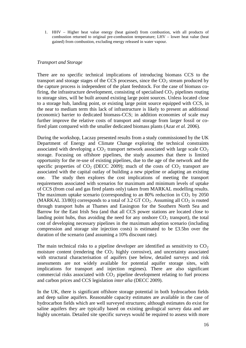1. HHV – Higher heat value energy (heat gained) from combustion, with all products of combustion returned to original pre-combustion temperature; LHV – lower heat value (heat gained) from combustion, excluding energy released in water vapour.

#### *Transport and Storage*

There are no specific technical implications of introducing biomass CCS to the transport and storage stages of the CCS processes, since the  $CO<sub>2</sub>$  stream produced by the capture process is independent of the plant feedstock. For the case of biomass cofiring, the infrastructure development, consisting of specialised  $CO<sub>2</sub>$  pipelines routing to storage sites, will be built around existing large point sources. Unless located close to a storage hub, landing point, or existing large point source equipped with CCS, in the near to medium term this lack of infrastructure is likely to present an additional (economic) barrier to dedicated biomass-CCS; in addition economies of scale may further improve the relative costs of transport and storage from larger fossil or cofired plant compared with the smaller dedicated biomass plants (Azar *et al.* 2006).

During the workshop, Laczay presented results from a study commissioned by the UK Department of Energy and Climate Change exploring the technical constraints associated with developing a  $CO<sub>2</sub>$  transport network associated with large scale  $CO<sub>2</sub>$ storage. Focusing on offshore pipelines, the study assumes that there is limited opportunity for the re-use of existing pipelines, due to the age of the network and the specific properties of  $CO_2$  (DECC 2009); much of the costs of  $CO_2$  transport are associated with the capital outlay of building a new pipeline or adapting an existing one. The study then explores the cost implications of meeting the transport requirements associated with scenarios for maximum and minimum levels of uptake of CCS (from coal and gas fired plants only) taken from MARKAL modelling results. The maximum uptake scenario (corresponding to an 80% reduction in  $CO<sub>2</sub>$  by 2050 (MARKAL 33/80)) corresponds to a total of 3.2 GT  $CO_2$ . Assuming all  $CO_2$  is routed through transport hubs at Thames and Easington for the Southern North Sea and Barrow for the East Irish Sea (and that all CCS power stations are located close to landing point hubs, thus avoiding the need for any onshore  $CO<sub>2</sub>$  transport), the total cost of developing necessary pipelines in the maximum adoption scenario (including compression and storage site injection costs) is estimated to be £3.5bn over the duration of the scenario (and assuming a 10% discount rate*).*

The main technical risks to a pipeline developer are identified as sensitivity to  $CO<sub>2</sub>$ moisture content (rendering the  $CO<sub>2</sub>$  highly corrosive), and uncertainty associated with structural characterisation of aquifers (see below, detailed surveys and risk assessments are not widely available for potential aquifer storage sites, with implications for transport and injection regimes). There are also significant commercial risks associated with  $CO<sub>2</sub>$  pipeline development relating to fuel process and carbon prices and CCS legislation *inter alia* (DECC 2009).

In the UK, there is significant offshore storage potential in both hydrocarbon fields and deep saline aquifers. Reasonable capacity estimates are available in the case of hydrocarbon fields which are well surveyed structures; although estimates do exist for saline aquifers they are typically based on existing geological survey data and are highly uncertain. Detailed site specific surveys would be required to assess with more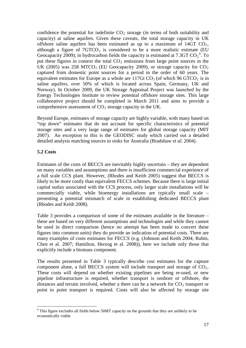confidence the potential for indefinite  $CO<sub>2</sub>$  storage (in terms of both suitability and capacity) at saline aquifers. Given these caveats, the total storage capacity in UK offshore saline aquifers has been estimated as up to a maximum of  $14GT$  CO<sub>2</sub>. although a figure of  $7GTCO<sub>2</sub>$  is considered to be a more realistic estimate (EU Geocapacity 2009); in hydrocarbon fields the capacity is estimated at 7.3GT  $CO_2^6$  $CO_2^6$ . To put these figures in context the total  $CO<sub>2</sub>$  emissions from large point sources in the UK (2005) was 258 MTCO<sub>2</sub> (EU Geocapacity 2009), or storage capacity for  $CO<sub>2</sub>$ captured from domestic point sources for a period in the order of 60 years. The equivalent estimates for Europe as a whole are  $117Gt CO<sub>2</sub>$  (of which 96 GTCO<sub>2</sub> is in saline aquifers, over 50% of which is located across Spain, Germany, UK and Norway). In October 2009, the UK Storage Appraisal Project was launched by the Energy Technologies Institute to review potential offshore storage sites. This large collaborative project should be completed in March 2011 and aims to provide a comprehensive assessment of  $CO<sub>2</sub>$  storage capacity in the UK.

Beyond Europe, estimates of storage capacity are highly variable, with many based on "top down" estimates that do not account for specific characteristics of potential storage sites and a very large range of estimates for global storage capacity (MIT 2007). An exception to this is the GEODISC study which carried out a detailed detailed analysis matching sources to sinks for Australia (Bradshaw *et al.* 2004).

### **5.2 Costs**

Estimates of the costs of BECCS are inevitably highly uncertain – they are dependent on many variables and assumptions and there is insufficient commercial experience of a full scale CCS plant. However, (Rhodes and Keith 2005) suggest that BECCS is likely to be more costly than equivalent FECCS schemes. Because there is large initial capital outlay associated with the CCS process, only larger scale installations will be commercially viable, while bioenergy installations are typically small scale – presenting a potential mismatch of scale in establishing dedicated BECCS plant (Rhodes and Keith 2008).

Table 3 provides a comparison of some of the estimates available in the literature – these are based on very different assumptions and technologies and while they cannot be used in direct comparison (hence no attempt has been made to convert these figures into common units) they do provide an indication of potential costs. There are many examples of costs estimates for FECCS (e.g. (Johnson and Keith 2004; Rubin, Chen et al. 2007; Hamilton, Herzog et al. 2008)), here we include only those that explicitly include a biomass component.

The results presented in Table 3 typically describe cost estimates for the capture component alone, a full BECCS system will include transport and storage of  $CO<sub>2</sub>$ . These costs will depend on whether existing pipelines are being re-used, or new pipeline infrastructure is required, whether transport is onshore or offshore, the distances and terrain involved, whether a there can be a network for  $CO<sub>2</sub>$  transport or point to point transport is required. Costs will also be affected by storage site

<span id="page-18-0"></span> <sup>6</sup> This figure excludes all fields below 50MT capacity on the grounds that they are unlikely to be economically viable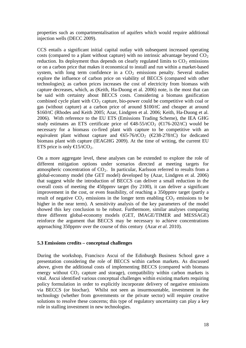properties such as compartmentalisation of aquifers which would require additional injection wells (DECC 2009).

CCS entails a significant initial capital outlay with subsequent increased operating costs (compared to a plant without capture) with no intrinsic advantage beyond  $CO<sub>2</sub>$ reduction. Its deployment thus depends on clearly regulated limits to  $CO<sub>2</sub>$  emissions or on a carbon price that makes it economical to install and run within a market-based system, with long term confidence in a  $CO<sub>2</sub>$  emissions penalty. Several studies explore the influence of carbon price on viability of BECCS (compared with other technologies); as carbon prices increases the cost of electricity from biomass with capture decreases, which, as (Keith, Ha-Duong et al. 2006) note, is the most that can be said with certainty about BECCS costs. Considering a biomass gasification combined cycle plant with  $CO<sub>2</sub>$  capture, bio-power could be competitive with coal or gas (without capture) at a carbon price of around \$100/tC and cheaper at around \$160/tC (Rhodes and Keith 2005; Azar, Lindgren et al. 2006; Keith, Ha-Duong et al. 2006). With reference to the EU ETS (Emissions Trading Scheme), the IEA GHG study estimates an ETS certificate price of  $\Theta$ 8-55/tCO<sub>2</sub> ( $\Theta$ 76-202/tC) would be necessary for a biomass co-fired plant with capture to be competitive with an equivalent plant without capture and  $\bigoplus$  5-76/tCO<sub>2</sub> ( $\bigoplus$  38-278/tC) for dedicated biomass plant with capture (IEAGHG 2009). At the time of writing, the current EU ETS price is only  $\text{E5/tCO}_2$ .

On a more aggregate level, these analyses can be extended to explore the role of different mitigation options under scenarios directed at meeting targets for atmospheric concentration of  $CO<sub>2</sub>$ . In particular, Karlsson referred to results from a global-economy model (the GET model) developed by (Azar, Lindgren et al. 2006) that suggest while the introduction of BECCS can deliver a small reduction in the overall costs of meeting the 450ppmv target (by 2100), it can deliver a significant improvement in the cost, or even feasibility, of reaching a 350ppmv target (partly a result of negative  $CO<sub>2</sub>$  emissions in the longer term enabling  $CO<sub>2</sub>$  emissions to be higher in the near term). A sensitivity analysis of the key parameters of the model showed this key conclusion to be robust. Furthermore, similar analyses comparing three different global-economy models (GET, IMAGE/TIMER and MESSAGE) reinforce the argument that BECCS may be necessary to achieve concentrations approaching 350ppmv over the course of this century (Azar *et al.* 2010).

#### **5.3 Emissions credits – conceptual challenges**

During the workshop, Francisco Ascui of the Edinburgh Business School gave a presentation considering the role of BECCS within carbon markets. As discussed above, given the additional costs of implementing BECCS (compared with biomass energy without  $CO<sub>2</sub>$  capture and storage), compatibility within carbon markets is vital. Ascui identified various conceptual challenges within existing markets requiring policy formulation in order to explicitly incorporate delivery of negative emissions via BECCS (or biochar). Whilst not seen as insurmountable, investment in the technology (whether from governments or the private sector) will require creative solutions to resolve these concerns; this type of regulatory uncertainty can play a key role in stalling investment in new technologies.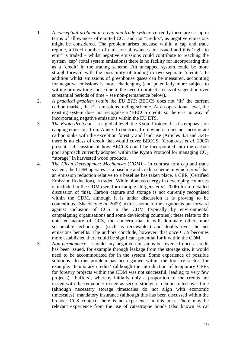- 1. *A conceptual problem in a cap and trade system*: currently these are set up in terms of allowances of emitted  $CO<sub>2</sub>$  and not "credits", as negative emissions might be considered. The problem arises because within a cap and trade regime, a fixed number of emission allowances are issued and this 'right to emit' is traded – whilst negative emissions could contribute to reaching the system 'cap' (total system emissions) there is no facility for incorporating this as a 'credit' in the trading scheme. An uncapped system could be more straightforward with the possibility of trading in two separate 'credits'. In addition whilst emissions of greenhouse gases can be measured, accounting for negative emissions is more challenging (and potentially more subject to witting or unwitting abuse due to the need to protect stocks of vegetation over substantial periods of time – see non-permanence below).
- 2. *A practical problem within the EU ETS*: BECCS does not 'fit' the current carbon market, the EU emissions trading scheme. At an operational level, the existing system does not recognise a 'BECCS credit' so there is no way of incorporating negative emissions within the EU ETS.
- 3. *The Kyoto Protocol* at a global level, the Kyoto Protocol has its emphasis on capping emissions from Annex 1 countries, from which it does not incorporate carbon sinks with the exception forestry and land use (Articles 3.3 and 3.4)– there is no class of credit that would cover BECCS. (Gronkvist *et al.* 2006) present a discussion of how BECCS could be incorporated into the carbon pool approach currently adopted within the Kyoto Protocol for managing  $CO<sub>2</sub>$ "storage" in harvested wood products.
- 4. *The Clean Development Mechanism* (*CDM)* in contrast to a cap and trade system, the CDM operates as a baseline and credit scheme in which proof that an emission reduction relative to a baseline has taken place, a CER (Certified Emission Reduction), is traded. While biomass energy in developing countries is included in the CDM (see, for example (Jürgens *et al.* 2006) for a detailed discussion of this), Carbon capture and storage is not currently recognised within the CDM, although it is under discussion it is proving to be contentious. (Shackley *et al.* 2009) address some of the arguments put forward against inclusion of CCS in the CDM (typically by environmental campaigning organisations and some developing countries); these relate to the untested nature of CCS, the concern that it will dominate other more sustainable technologies (such as renewables) and doubts over the net emissions benefits. The authors conclude, however, that once CCS becomes more established there could be significant potential for it within the CDM.
- 5. *Non-permanence* should any negative emissions be reversed once a credit has been issued, for example through leakage from the storage site, it would need to be accommodated for in the system. Some experience of possible solutions to this problem has been gained within the forestry sector, for example: 'temporary credits' (although the introduction of temporary CERs for forestry projects within the CDM was not successful, leading to very few projects); 'buffers', whereby initially only a proportion of the credits are issued with the remainder issued as secure storage is demonstrated over time (although necessary storage timescales do not align with economic timescales); mandatory insurance (although this has been discussed within the broader CCS context, there is no experience in this area. There may be relevant experience from the use of catastrophe bonds (also known as cat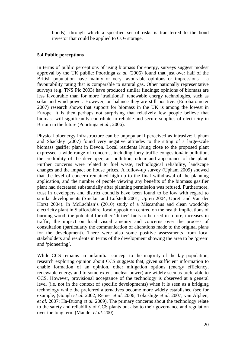bonds), through which a specified set of risks is transferred to the bond investor that could be applied to  $CO<sub>2</sub>$  storage.

#### **5.4 Public perceptions**

In terms of public perceptions of using biomass for energy, surveys suggest modest approval by the UK public: Poortinga *et al.* (2006) found that just over half of the British population have mainly or very favourable opinions or impressions  $-$  a favourability rating that is comparable to natural gas. Other nationally representative surveys (e.g. TNS Plc 2003) have produced similar findings: opinions of biomass are less favourable than for more 'traditional' renewable energy technologies, such as solar and wind power. However, on balance they are still positive. (Eurobarometer 2007) research shows that support for biomass in the UK is among the lowest in Europe. It is then perhaps not surprising that relatively few people believe that biomass will significantly contribute to reliable and secure supplies of electricity in Britain in the future (Poortinga *et al.*, 2006).

Physical bioenergy infrastructure can be unpopular if perceived as intrusive: Upham and Shackley (2007) found very negative attitudes to the siting of a large-scale biomass gasifier plant in Devon. Local residents living close to the proposed plant expressed a wide range of concerns, including lorry traffic congestion/air pollution, the credibility of the developer, air pollution, odour and appearance of the plant. Further concerns were related to fuel waste, technological reliability, landscape changes and the impact on house prices. A follow-up survey (Upham 2009) showed that the level of concern remained high up to the final withdrawal of the planning application, and the number of people viewing any benefits of the biomass gasifier plant had decreased substantially after planning permission was refused. Furthermore, trust in developers and district councils have been found to be low with regard to similar developments (Sinclair and Lofstedt 2001; Upreti 2004; Upreti and Van der Horst 2004). In McLachlan's (2010) study of a Miscanthus and clean woodchip electricity plant in Staffordshire, local opposition centred on the health implications of burning wood, the potential for other 'dirtier' fuels to be used in future, increases in traffic, the impact on local visual amenity and concerns over the process of consultation (particularly the communication of alterations made to the original plans for the development). There were also some positive assessments from local stakeholders and residents in terms of the development showing the area to be 'green' and 'pioneering'.

While CCS remains an unfamiliar concept to the majority of the lay population, research exploring opinion about CCS suggests that, given sufficient information to enable formation of an opinion, other mitigation options (energy efficiency, renewable energy and to some extent nuclear power) are widely seen as preferable to CCS. However, provisional acceptance of the technology is observed at a general level (i.e. not in the context of specific developments) when it is seen as a bridging technology while the preferred alternatives become more widely established (see for example, (Gough *et al.* 2002; Reiner *et al.* 2006; Tokushige *et al.* 2007; van Alphen, *et al*. 2007; Ha-Duong *et al.* 2009). The primary concerns about the technology relate to the safety and reliability of CCS plants but also to their governance and regulation over the long term (Mander *et al.* 200).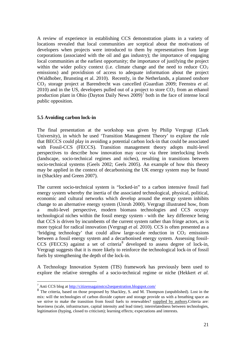A review of experience in establishing CCS demonstration plants in a variety of locations revealed that local communities are sceptical about the motivations of developers when projects were introduced to them by representatives from large corporations (associated with the oil and gas industry); the importance of engaging local communities at the earliest opportunity; the importance of justifying the project within the wider policy context (i.e. climate change and the need to reduce  $CO<sub>2</sub>$ ) emissions) and providision of access to adequate information about the project (Waldhober, Brunsting et al. 2010). Recently, in the Netherlands, a planned onshore CO<sub>2</sub> storage project at Barendrecht was cancelled (Guardian 2009; Feenstra *et al.*) 2010) and in the US, developers pulled out of a project to store  $CO<sub>2</sub>$  from an ethanol production plant in Ohio (Dayton Daily News  $2009$ )<sup>[7](#page-22-0)</sup> both in the face of intense local public opposition.

### **5.5 Avoiding carbon lock-in**

The final presentation at the workshop was given by Philip Vergragt (Clark University), in which he used 'Transition Management Theory' to explore the role that BECCS could play in avoiding a potential carbon lock-in that could be associated with Fossil-CCS (FECCS). Transition management theory adopts multi-level perspectives to describe how innovation may occur via three interlocking levels (landscape, socio-technical regimes and niches), resulting in transitions between socio-technical systems (Geels 2002; Geels 2005). An example of how this theory may be applied in the context of decarbonising the UK energy system may be found in (Shackley and Green 2007).

The current socio-technical system is "locked-in" to a carbon intensive fossil fuel energy system whereby the inertia of the associated technological, physical, political, economic and cultural networks which develop around the energy system inhibits change to an alternative energy system (Unruh 2000). Vergragt illustrated how, from a multi-level perspective, modern biomass technologies and CCS occupy technological niches within the fossil energy system - with the key difference being that CCS is driven by incumbents of the current system rather than fringe actors, as is more typical for radical innovation (Vergragt *et al.* 2010). CCS is often presented as a 'bridging technology' that could allow large-scale reduction in  $CO<sub>2</sub>$  emissions between a fossil energy system and a decarbonised energy system. Assessing fossil- $CCS$  (FECCS) against a set of criteria<sup>[8](#page-22-1)</sup> developed to assess degree of lock-in, Vergragt suggests that it is more likely to reinforce the technological lock-in of fossil fuels by strengthening the depth of the lock-in.

A Technology Innovation System (TIS) framework has previously been used to explore the relative strengths of a socio-technical regime or niche (Hekkert *et al.*

 <sup>7</sup> Anti CCS blog at<http://citizensagainstco2sequestration.blogspot.com/>

<span id="page-22-1"></span><span id="page-22-0"></span><sup>&</sup>lt;sup>8</sup> The criteria, based on those proposed by Shackley, S. and M. Thompson (unpublished). Lost in the mix: will the technologies of carbon dioxide capture and storage provide us with a breathing space as we strive to make the transition from fossil fuels to renewables? supplied by authors.Criteria are: heaviness (scale, infrastructure, capital intensity and lead time); interrelatedness between technologies, legitimation (hyping, closed to criticism); learning effects; expectations and interests.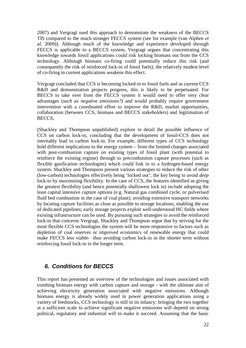2007) and Vergragt used this approach to demonstrate the weakness of the BECCS TIS compared to the much stronger FECCS system (see for example (van Alphen *et al.* 2009)). Although much of the knowledge and experience developed through FECCS is applicable to a BECCS system, Vergragt argues that concentrating this knowledge towards fossil applications could risk locking biomass out from the CCS technology. Although biomass co-firing could potentially reduce this risk (and consequently the risk of reinforced lock-in of fossil fuels), the relatively modest level of co-firing in current applications weakens this effect.

Vergragt concluded that CCS is becoming locked-in to fossil fuels and as current CCS R&D and demonstration projects progress, this is likely to be perpetuated. For BECCS to take over from the FECCS system it would need to offer very clear advantages (*such as negative emissions?*) and would probably require government intervention with a coordinated effort to improve the R&D, market opportunities, collaboration (between CCS, biomass and BECCS stakeholders) and legitimation of BECCS,

(Shackley and Thompson unpublished) explore in detail the possible influence of CCS on carbon lock-in, concluding that the development of fossil-CCS does not inevitably lead to carbon lock-in. For example, different types of CCS technology hold different implications to the energy system – from the limited changes associated with post-combustion capture on existing types of fossil plant (with potential to reinforce the existing regime) through to precombustion capture processes (such as flexible gasification technologies) which could link in to a hydrogen-based energy system. Shackley and Thompson present various strategies to reduce the risk of other (low-carbon) technologies effectively being 'locked out'; the key being to avoid *deep* lock-in by maximising flexibility. In the case of CCS, the features identified as giving the greatest flexibility (and hence potentially shallowest lock in) include adopting the least capital intensive capture options (e.g. Natural gas combined cycle, or pulverised fluid bed combustion in the case of coal plant); avoiding extensive transport networks by locating capture facilities as close as possible to storage locations, enabling the use of dedicated pipelines; early storage projects exploit well-understood HC fields where existing infrastructure can be used. By pursuing such strategies to avoid the reinforced lock-in that concerns Vergragt, Shackley and Thompson argue that by striving for the most flexible CCS technologies the system will be more responsive to factors such as depletion of coal reserves or improved economics of renewable energy that could make FECCS less viable- thus avoiding carbon lock-in in the shorter term without reinforcing fossil lock-in in the longer term.

### *6. Conditions for BECCS*

This report has presented an overview of the technologies and issues associated with combing biomass energy with carbon capture and storage - with the ultimate aim of achieving electricity generation associated with negative emissions. Although biomass energy is already widely used in power generation applications using a variety of feedstocks, CCS technology is still in its infancy; bringing the two together at a sufficient scale to achieve significant negative emissions will depend on strong political, regulatory and industrial will to make it succeed. Assuming that the basic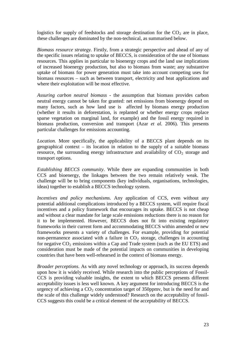logistics for supply of feedstocks and storage destination for the  $CO<sub>2</sub>$  are in place, these challenges are dominated by the non-technical, as summarised below.

*Biomass resource strategy.* Firstly, from a strategic perspective and ahead of any of the specific issues relating to uptake of BECCS, is consideration of the use of biomass resources. This applies in particular to bioenergy crops and the land use implications of increased bioenergy production, but also to biomass from waste; any substantive uptake of biomass for power generation must take into account competing uses for biomass resources – such as between transport, electricity and heat applications and where their exploitation will be most effective.

*Assuring carbon neutral biomass* - the assumption that biomass provides carbon neutral energy cannot be taken for granted: net emissions from bioenergy depend on many factors, such as how land use is affected by biomass energy production (whether it results in deforestation, is replanted or whether energy crops replace sparse vegetation on marginal land, for example) and the fossil energy required in biomass production, conversion and transport (Azar *et al.* 2006). This presents particular challenges for emissions accounting.

*Location.* More specifically, the applicability of a BECCS plant depends on its geographical context – its location in relation to the supply of a suitable biomass resource, the surrounding energy infrastructure and availability of  $CO<sub>2</sub>$  storage and transport options.

*Establishing BECCS community*. While there are expanding communities in both CCS and bioenergy, the linkages between the two remain relatively weak. The challenge will be to bring components (key individuals, organisations, technologies, ideas) together to establish a BECCS technology system.

*Incentives and policy mechanisms.* Any application of CCS, even without any potential additional complications introduced by a BECCS system, will require fiscal incentives and a policy framework that encourages its uptake. BECCS is not cheap and without a clear mandate for large scale emissions reductions there is no reason for it to be implemented. However, BECCS does not fit into existing regulatory frameworks in their current form and accommodating BECCS within amended or new frameworks presents a variety of challenges. For example, providing for potential non-permanence associated with a failure in  $CO<sub>2</sub>$  storage, challenges in accounting for negative  $CO_2$  emissions within a Cap and Trade system (such as the EU ETS) and consideration must be made of the potential impacts on communities in developing countries that have been well-rehearsed in the context of biomass energy.

*Broader perceptions.* As with any novel technology or approach, its success depends upon how it is widely received. While research into the public perceptions of Fossil-CCS is providing valuable insights, the extent to which BECCS presents different acceptability issues is less well known. A key argument for introducing BECCS is the urgency of achieving a  $CO<sub>2</sub>$  concentration target of 350ppmv, but is the need for and the scale of this challenge widely understood? Research on the acceptability of fossil-CCS suggests this could be a critical element of the acceptability of BECCS.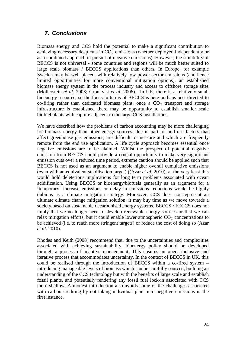## *7. Conclusions*

Biomass energy and CCS hold the potential to make a significant contribution to achieving necessary deep cuts in  $CO<sub>2</sub>$  emissions (whether deployed independently or as a combined approach in pursuit of negative emissions). However, the suitability of BECCS is not universal - some countries and regions will be much better suited to large scale biomass / BECCS applications than others. In Europe, for example Sweden may be well placed, with relatively low power sector emissions (and hence limited opportunities for more conventional mitigation options), an established biomass energy system in the process industry and access to offshore storage sites (Mollerstein *et al.* 2003; Gronkvist *et al.* 2006). In UK, there is a relatively small bioenergy resource, so the focus in terms of BECCS is here perhaps best directed to co-firing rather than dedicated biomass plant; once a  $CO<sub>2</sub>$  transport and storage infrastructure is established there may be opportunity to establish smaller scale biofuel plants with capture adjacent to the large CCS installations.

We have described how the problems of carbon accounting may be more challenging for biomass energy than other energy sources, due in part to land use factors that affect greenhouse gas emissions, are difficult to measure and which are frequently remote from the end use application. A life cycle approach becomes essential once negative emissions are to be claimed. Whilst the prospect of potential negative emission from BECCS could provide a crucial opportunity to make very significant emission cuts over a reduced time period, extreme caution should be applied such that BECCS is not used as an argument to enable higher overall cumulative emissions (even with an equivalent stabilisation target) ((Azar *et al.* 2010); at the very least this would hold deleterious implications for long term problems associated with ocean acidification. Using BECCS or bioenergy/biofuels generally as an argument for a 'temporary' increase emissions or delay in emissions reductions would be highly dubious as a climate mitigation strategy. Moreover, CCS does not represent an ultimate climate change mitigation solution; it may buy time as we move towards a society based on sustainable decarbonised energy systems. BECCS / FECCS does not imply that we no longer need to develop renewable energy sources or that we can relax mitigation efforts, but it could enable lower atmospheric  $CO<sub>2</sub>$  concentrations to be achieved (i.e. to reach more stringent targets) or reduce the cost of doing so (Azar *et al.* 2010).

Rhodes and Keith (2008) recommend that, due to the uncertainties and complexities associated with achieving sustainability, bioenergy policy should be developed through a process of adaptive management. This ensures an open, inclusive and iterative process that accommodates uncertainty. In the context of BECCS in UK, this could be realised through the introduction of BECCS within a co-fired system – introducing manageable levels of biomass which can be carefully sourced, building an understanding of the CCS technology but with the benefits of large scale and establish fossil plants, and potentially rendering any fossil fuel lock-in associated with CCS more shallow. A modest introduction also avoids some of the challenges associated with carbon crediting by not taking individual plant into negative emissions in the first instance.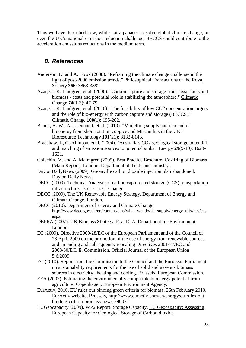Thus we have described how, while not a panacea to solve global climate change, or even the UK's national emission reduction challenge, BECCS could contribute to the acceleration emissions reductions in the medium term.

### *8. References*

- Anderson, K. and A. Bows (2008). "Reframing the climate change challenge in the light of post-2000 emission trends." Philosophical Transactions of the Royal Society **366**: 3863-3882.
- Azar, C., K. Lindgren, et al. (2006). "Carbon capture and storage from fossil fuels and biomass - costs and potential role in stabilizing the atmosphere." Climatic Change **74**(1-3): 47-79.
- Azar, C., K. Lindgren, et al. (2010). "The feasibility of low CO2 concentration targets and the role of bio-energy with carbon capture and storage (BECCS)." Climatic Change **100**(1): 195-202.
- Bauen, A. W., A. J. Dunnett, et al. (2010). "Modelling supply and demand of bioenergy from short rotation coppice and Miscanthus in the UK." Bioresource Technology **101**(21): 8132-8143.
- Bradshaw, J., G. Allinson, et al. (2004). "Australia's CO2 geological storage potential and matching of emission sources to potential sinks." Energy **29**(9-10): 1623- 1631.
- Colechin, M. and A. Malmgren (2005). Best Practice Brochure: Co-firing of Biomass (Main Report). London, Department of Trade and Industry.
- DaytonDailyNews (2009). Greenville carbon dioxide injection plan abandoned. Dayton Daily News.
- DECC (2009). Technical Analysis of carbon capture and storage (CCS) transportation infrastructure. D. o. E. a. C. Change.
- DECC (2009). The UK Renewable Energy Strategy. Department of Energy and Climate Change. London.
- DECC (2010). Department of Energy and Climate Change http://www.decc.gov.uk/en/content/cms/what\_we\_do/uk\_supply/energy\_mix/ccs/ccs. aspx
- DEFRA (2007). UK Biomass Strategy. F. a. R. A. Department for Environment. London.
- EC (2009). Directive 2009/28/EC of the European Parliament and of the Council of 23 April 2009 on the promotion of the use of energy from renewable sources and amending and subsequently repealing Directives 2001/77/EC and 2003/30/EC. E. Commission. Official Journal of the European Union 5.6.2009.
- EC (2010). Report from the Commission to the Council and the European Parliament on sustainability requirements for the use of solid and gaseous biomass sources in electricity , heating and cooling. Brussels, European Commission.
- EEA (2007). Estimating the environmentally compatible bioenergy potential from agriculture. Copenhagen, European Environment Agency.
- EurActiv, 2010. EU rules out binding green criteria for biomass. 26th February 2010, EurActiv website, Brussels, http://www.euractiv.com/en/energy/eu-rules-outbinding-criteria-biomass-news-290021
- EUGeocapacity (2009). WP2 Report: Storage Capacity. EU Geocapacity: Assessing European Capacity for Geological Storage of Carbon dioxide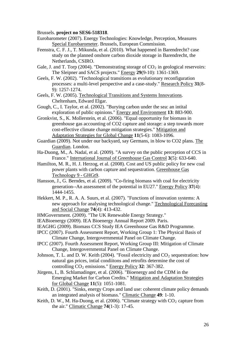Brussels. **project no SES6-518318**.

- Eurobarometer (2007). Energy Technologies: Knowledge, Perception, Measures Special Eurobarometer. Brussels, European Commission.
- Feenstra, C. F. J., T. Mikunda, et al. (2010). What happened in Barendrecht? case study on the planned onshore carbon dioxide storage in Barendrecht, the Netherlands, CSIRO.
- Gale, J. and T. Torp (2004). "Demonstrating storage of  $CO<sub>2</sub>$  in geological reservoirs: The Sleipner and SACS projects." Energy **29**(9-10): 1361-1369.
- Geels, F. W. (2002). "Technological transitions as evolutionary reconfiguration processes: a multi-level perspective and a case-study." Research Policy **31**(8- 9): 1257-1274.
- Geels, F. W. (2005). Technological Transitions and Systems Innovations. Cheltenham, Edward Elgar.
- Gough, C., I. Taylor, et al. (2002). "Burying carbon under the sea: an intital exploration of public opinions." Energy and Environment **13**: 883-900.
- Gronkvist, S., K. Mollerstein, et al. (2006). "Equal opportunity for biomass in greenhouse gas accounting of CO2 capture and storage: a step towards more cost-effective climate change mitigation strategies." Mitigation and Adaptation Strategies for Global Change **11**(5-6): 1083-1096.
- Guardian (2009). Not under our backyard, say Germans, in blow to CO2 plans. The Guardian. London.
- Ha-Duong, M., A. Nadaï, et al. (2009). "A survey on the public perception of CCS in France." International Journal of Greenhouse Gas Control **3**(5): 633-640.
- Hamilton, M. R., H. J. Herzog, et al. (2008). Cost and US public policy for new coal power plants with carbon capture and sequestration. Greenhouse Gas Technology 9 - GHGt9.
- Hansson, J., G. Berndes, et al. (2009). "Co-firing biomass with coal for electricity generation--An assessment of the potential in EU27." Energy Policy **37**(4): 1444-1455.
- Hekkert, M. P., R. A. A. Suurs, et al. (2007). "Functions of innovation systems: A new approach for analysing technological change." Technological Forecasting and Social Change **74**(4): 413-432.
- HMGovernment. (2009). "The UK Renewable Energy Strategy."
- IEABioenergy (2009). IEA Bioenergy Annual Report 2009. Paris.
- IEAGHG (2009). Biomass CCS Study IEA Greenhouse Gas R&D Programme.
- IPCC (2007). Fourth Assessment Report, Working Group 1: The Physical Basis of Climate Change, Intergovernmental Panel on Climate Change.
- IPCC (2007). Fourth Assessment Report, Working Group III: Mitigation of Climate Change, Intergovernmental Panel on Climate Change.
- Johnson, T. L. and D. W. Keith (2004). "Fossil electricity and  $CO<sub>2</sub>$  sequestration: how natural gas prices, intial condiitons and retrofits determine the cost of controlling CO<sub>2</sub> emissions." Energy Policy 32: 367-382.
- Jürgens, I., B. Schlamadinger, et al. (2006). "Bioenergy and the CDM in the Emerging Market for Carbon Credits." Mitigation and Adaptation Strategies for Global Change **11**(5): 1051-1081.
- Keith, D. (2001). "Sinks, energy Crops and land use: coherent climate policy demands an integrated analysis of biomass." Climatic Change **49**: 1-10.
- Keith, D. W., M. Ha-Duong, et al. (2006). "Climate strategy with CO <sup>2</sup> capture from the air." Climatic Change **74**(1-3): 17-45.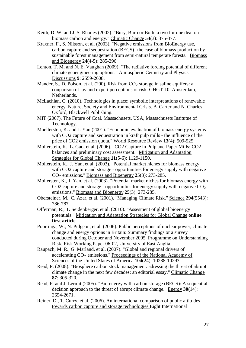- Keith, D. W. and J. S. Rhodes (2002). "Bury, Burn or Both: a two for one deal on biomass carbon and energy." Climatic Change **54**(3): 375-377.
- Kraxner, F., S. Nilsson, et al. (2003). "Negative emissions from BioEnergy use, carbon capture and sequestration (BECS)--the case of biomass production by sustainable forest management from semi-natural temperate forests." Biomass and Bioenergy **24**(4-5): 285-296.
- Lenton, T. M. and N. E. Vaughan (2009). "The radiative forcing potential of different climate geoengineering options." Atmospheric Cemistry and Physics Discussions **9**: 2559-2608.
- Mander, S., D. Polson, et al. (200). Risk from CO <sup>2</sup> storage in saline aquifers: a conparison of lay and expert perceptions of risk. **GHGT-10**. Amsterdam, Netherlands.
- McLachlan, C. (2010). Technologies in place: symbolic interpretations of renewable energy. Nature, Society and Environmental Crisis. B. Carter and N. Charles. Oxford, Blackwell Publishing.
- MIT (2007). The Future of Coal. Massachusets, USA, Massachusets Insitutue of Technology.
- Moellersten, K. and J. Yan (2001). "Economic evaluation of biomass energy systems with CO2 capture and sequestration in kraft pulp mills - the influence of the price of CO2 emission quota." World Resource Review **13**(4): 509-525.
- Mollerstein, K., L. Gao, et al. (2006). "CO2 Capture in Pulp and Paper Mills: CO2 balances and preliminary cost assessment." Mitigation and Adaptation Strategies for Global Change **11**(5-6): 1129-1150.
- Mollerstein, K., J. Yan, et al. (2003). "Potential market niches for biomass energy with CO2 capture and storage - opportunities for energy supply with negative CO <sup>2</sup> emissions." Biomass and Bioenergy **25**(3): 273-285.
- Mollersten, K., J. Yan, et al. (2003). "Potential market niches for biomass energy with CO2 capture and storage - opportunities for energy supply with negative  $CO<sub>2</sub>$ emissions." Biomass and Bioenergy **25**(3): 273-285.
- Obersteiner, M., C. Azar, et al. (2001). "Managing Climate Risk." Science 294(5543): 786-787.
- Offerman, R., T. Seidenberger, et al. (2010). "Assesment of global bioenergy potentials." Mitigation and Adaptation Strategies for Global Change **online first article**.
- Poortinga, W., N. Pidgeon, et al. (2006). Public perceptions of nuclear power, climate change and energy options in Britain: Summary findings or a survey conducted during October and November 2005. Programme on Understanding Risk, Risk Working Paper 06-02, University of East Anglia.
- Raupach, M. R., G. Marland, et al. (2007). "Global and regional drivers of accelerating CO<sub>2</sub> emissions." Proceedings of the National Academy of Sciences of the United States of America **104**(24): 10288-10293.
- Read, P. (2008). "Biosphere carbon stock management: adressing the threat of abrupt climate change in the next few decades: an editorial essay." Climatic Change **87**: 305-320.
- Read, P. and J. Lermit (2005). "Bio-energy with carbon storage (BECS): A sequential decision approach to the threat of abrupt climate change." Energy **30**(14): 2654-2671.
- Reiner, D., T. Curry, et al. (2006). An international comparison of public attitudes towards carbon capture and storage technologies Eight International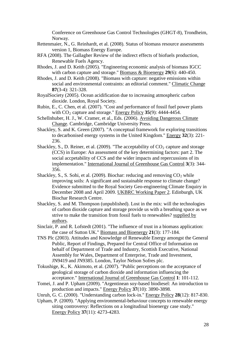Conference on Greenhouse Gas Control Technologies (GHGT-8), Trondheim, Norway.

- Rettenmaier, N., G. Reinhardt, et al. (2008). Status of biomass resource assessments version 1, Biomass Energy Europe.
- RFA (2008). The Gallagher Review of the indirect effects of biofuels production, Renewable Fuels Agency.
- Rhodes, J. and D. Keith (2005). "Engineering economic analysis of biomass IGCC with carbon capture and storage." Biomass & Bioenergy **29**(6): 440-450.
- Rhodes, J. and D. Keith (2008). "Biomass with capture: negative emissions within social and environmental contraints: an editorial comment." Climatic Change **87**(3-4): 321-328.
- RoyalSociety (2005). Ocean acidification due to increasing atmospheric carbon dioxide. London, Royal Society.
- Rubin, E., C. Chen, et al. (2007). "Cost and performance of fossil fuel power plants with CO<sub>2</sub> capture and storage." **Energy Policy 35**(9): 4444-4454.
- Schellnhuber, H. J., W. Cramer, et al., Eds. (2006). Avoiding Dangerous Climate Change. Cambridge, Cambridge University Press.
- Shackley, S. and K. Green (2007). "A conceptual framework for exploring transitions to decarbonised energy systems in the United Kingdom." Energy **32**(3): 221- 236.
- Shackley, S., D. Reiner, et al. (2009). "The acceptability of  $CO_2$  capture and storage (CCS) in Europe: An assessment of the key determining factors: part 2. The social accpetability of CCS and the wider impacts and repercussions of its implementation." International Journal of Greenhouse Gas Control **3**(3): 344- 356.
- Shackley, S., S. Sohi, et al. (2009). Biochar: reducing and removing  $CO_2$  while improving soils: A significant and sustainable response to climate change? Evidence submitted to the Royal Society Geo-engineering Climate Enquiry in December 2008 and April 2009. UKBRC Working Paper 2. Edinburgh, UK Biochar Research Centre.
- Shackley, S. and M. Thompson (unpublished). Lost in the mix: will the technologies of carbon dioxide capture and storage provide us with a breathing space as we strive to make the transition from fossil fuels to renewables? supplied by authors.
- Sinclair, P. and R. Lofstedt (2001). "The influence of trust in a biomass application: the case of Sutton UK." Biomass and Bioenergy **21**(3): 177-184.
- TNS Plc (2003). Attitudes and Knowledge of Renewable Energy amongst the General Public, Report of Findings, Prepared for Central Office of Information on behalf of Department of Trade and Industry, Scottish Executive, National Assembly for Wales, Department of Enterprise, Trade and Investment, JN9419 and JN9385. London, Taylor Nelson Sofres plc.
- Tokushige, K., K. Akimoto, et al. (2007). "Public perceptions on the acceptance of geological storage of carbon dioxide and information influencing the acceptance." International Journal of Greenhouse Gas Control **1**: 101-112.
- Tomei, J. and P. Upham (2009). "Argentinean soy-based biodiesel: An introduction to production and impacts." Energy Policy **37**(10): 3890-3898.
- Unruh, G. C. (2000). "Understanding carbon lock-in." Energy Policy **28**(12): 817-830.
- Upham, P. (2009). "Applying environmental-behaviour concepts to renewable energy siting controversy: Reflections on a longitudinal bioenergy case study." Energy Policy **37**(11): 4273-4283.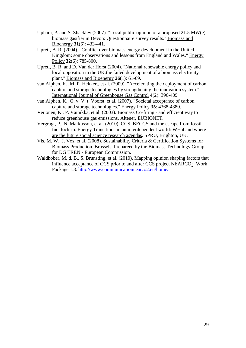- Upham, P. and S. Shackley (2007). "Local public opinion of a proposed 21.5 MW(e) biomass gasifier in Devon: Questionnaire survey results." Biomass and Bioenergy **31**(6): 433-441.
- Upreti, B. R. (2004). "Conflict over biomass energy development in the United Kingdom: some observations and lessons from England and Wales." **Energy** Policy **32**(6): 785-800.
- Upreti, B. R. and D. Van der Horst (2004). "National renewable energy policy and local opposition in the UK:the failed development of a biomass electricity plant." Biomass and Bioenergy **26**(1): 61-69.
- van Alphen, K., M. P. Hekkert, et al. (2009). "Accelerating the deployment of carbon capture and storage technologies by strengthening the innovation system." International Journal of Greenhouse Gas Control **4**(2): 396-409.
- van Alphen, K., Q. v. V. t. Voorst, et al. (2007). "Societal acceptance of carbon capture and storage technologies." Energy Policy **35**: 4368-4380.
- Veijonen, K., P. Vainikka, et al. (2003). Biomass Co-firing and efficient way to reduce greenhouse gas emissions, Altener, EUBIONET.
- Vergragt, P., N. Markusson, et al. (2010). CCS, BECCS and the escape from fossilfuel lock-in. Energy Transitions in an interdependent world: WHat and where are the future social science research agendas. SPRU, Brighton, UK.
- Vis, M. W., J. Vos, et al. (2008). Sustainability Criteria & Certification Systems for Biomass Production. Brussels, Prepareed by the Biomass Technology Group for DG TREN - European Commission.
- Waldhober, M. d. B., S. Brunsting, et al. (2010). Mapping opinion shaping factors that influence acceptance of CCS prior to and after CCS project  $NEARCO<sub>2</sub>$ . Work Package 1.3. <http://www.communicationnearco2.eu/home/>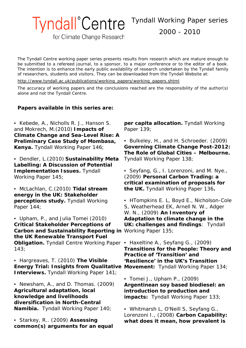Tyndall Working Paper series

2000 - 2010

for Climate Change Research

**Tyndall**<sup>°</sup>Centre

*The Tyndall Centre working paper series presents results from research which are mature enough to be submitted to a refereed journal, to a sponsor, to a major conference or to the editor of a book. The intention is to enhance the early public availability of research undertaken by the Tyndall family of researchers, students and visitors. They can be downloaded from the Tyndall Website at:*

*[http://www.tyndall.ac.uk/publications/working\\_papers/working\\_papers.shtml](http://www.tyndall.ac.uk/publications/working_papers/working_papers.shtml)*

*The accuracy of working papers and the conclusions reached are the responsibility of the author(s) alone and not the Tyndall Centre.*

#### **Papers available in this series are:**

- Kebede, A., Nicholls R. J., Hanson S. and Mokrech, M.(2010) **Impacts of Climate Change and Sea-Level Rise: A Preliminary Case Study of Mombasa, Kenya.** Tyndall Working Paper 146;
- Dendler, L.(2010) **Sustainability Meta Labelling: A Discussion of Potential Implementation Issues.** Tyndall Working Paper 145;
- McLachlan, C.(2010) **Tidal stream energy in the UK: Stakeholder perceptions study.** Tyndall Working Paper 144;
- Upham, P., and Julia Tomei (2010) **Critical Stakeholder Perceptions of Carbon and Sustainability Reporting in**  Working Paper 135; **the UK Renewable Transport Fuel Obligation.** Tyndall Centre Working Paper • Haxeltine A., Seyfang G., (2009) 143;
- Hargreaves, T. (2010) **The Visible Energy Trial: Insights from Qualitative Movement:** Tyndall Working Paper 134; **Interviews.** Tyndall Working Paper 141;
- Newsham, A., and D. Thomas. (2009) **Agricultural adaptation, local knowledge and livelihoods diversification in North-Central Namibia.** Tyndall Working Paper 140;
- Starkey, R.. (2009) **Assessing common(s) arguments for an equal**

**per capita allocation.** Tyndall Working Paper 139;

- Bulkeley, H., and H. Schroeder. (2009) **Governing Climate Change Post-2012: The Role of Global Cities – Melbourne.** Tyndall Working Paper 138;
- Seyfang, G., I. Lorenzoni, and M. Nye., (2009) **Personal Carbon Trading: a critical examination of proposals for the UK.** Tyndall Working Paper 136**.**

• HTompkins E. L, Boyd E., Nicholson-Cole S, Weatherhead EK, Arnell N. W., Adger W. N., (2009) **An Inventory of Adaptation to climate change in the UK: challenges and findings**: Tyndall

**Transitions for the People: Theory and Practice of 'Transition' and 'Resilience' in the UK's Transition** 

- Tomei J., Upham P., (2009) **Argentinean soy based biodiesel: an introduction to production and impacts:** Tyndall Working Paper 133;
- Whitmarsh L, O'Neill S, Seyfang G., Lorenzoni I., (2008) **Carbon Capability: what does it mean, how prevalent is**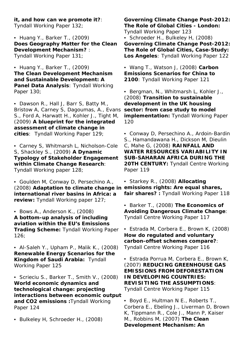**it, and how can we promote it?**: Tyndall Working Paper 132;

• Huang Y., Barker T., (2009) **Does Geography Matter for the Clean Development Mechanism?** : Tyndall Working Paper 131;

• Huang Y., Barker T., (2009) **The Clean Development Mechanism and Sustainable Development: A Panel Data Analysis**: Tyndall Working Paper 130;

• Dawson R., Hall J, Barr S, Batty M., Bristow A, Carney S, Dagoumas, A., Evans S., Ford A, Harwatt H., Kohler J., Tight M, (2009) **A blueprint for the integrated assessment of climate change in cities**: Tyndall Working Paper 129;

• Carney S, Whitmarsh L, Nicholson-Cole S, Shackley S., (2009) **A Dynamic Typology of Stakeholder Engagement within Climate Change Research**: Tyndall Working paper 128;

• Goulden M, Conway D, Persechino A., (2008) **Adaptation to climate change in emissions rights: Are equal shares, international river basins in Africa: a review:** Tyndall Working paper 127;

• Bows A., Anderson K., (2008) **A bottom-up analysis of including aviation within the EU's Emissions Trading Scheme:** Tyndall Working Paper 126;

• Al-Saleh Y., Upham P., Malik K., (2008) **Renewable Energy Scenarios for the Kingdom of Saudi Arabia:** Tyndall Working Paper 125

• Scrieciu S., Barker T., Smith V., (2008) **World economic dynamics and technological change: projecting interactions between economic output and CO2 emissions :**Tyndall Working Paper 124

• Bulkeley H, Schroeder H., (2008)

**Governing Climate Change Post-2012: The Role of Global Cities - London:** Tyndall Working Paper 123 • Schroeder H., Bulkeley H, (2008) **Governing Climate Change Post-2012: The Role of Global Cities, Case-Study: Los Angeles**: Tyndall Working Paper 122

• Wang T., Watson J, (2008) **Carbon Emissions Scenarios for China to 2100**: Tyndall Working Paper 121

• Bergman, N., Whitmarsh L, Kohler J., (2008) **Transition to sustainable development in the UK housing sector: from case study to model implementation:** Tyndall Working Paper 120

• Conway D, Persechino A., Ardoin-Bardin S., Hamandawana H., Dickson M, Dieulin C, Mahe G, (2008) **RAINFALL AND WATER RESOURCES VARIABILITY IN SUB-SAHARAN AFRICA DURING THE 20TH CENTURY:** Tyndall Centre Working Paper 119

• Starkey R., (2008) **Allocating fair shares? :** Tyndall Working Paper 118

• Barker T., (2008) **The Economics of Avoiding Dangerous Climate Change**: Tyndall Centre Working Paper 117

• Estrada M, Corbera E., Brown K, (2008) **How do regulated and voluntary carbon-offset schemes compare?**: Tyndall Centre Working Paper 116

• Estrada Porrua M, Corbera E., Brown K, (2007) **REDUCING GREENHOUSE GAS EMISSIONS FROM DEFORESTATION IN DEVELOPING COUNTRIES: REVISITING THE ASSUMPTIONS**: Tyndall Centre Working Paper 115

• Boyd E., Hultman N E., Roberts T., Corbera E., Ebeling J., Liverman D, Brown K, Tippmann R., Cole J., Mann P, Kaiser M., Robbins M, (2007) **The Clean Development Mechanism: An**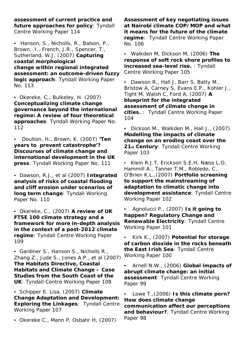**assessment of current practice and future approaches for policy**: Tyndall Centre Working Paper 114

• Hanson, S., Nicholls, R., Balson, P., Brown, I., French, J.R., Spencer, T., Sutherland, W.J. (2007) **Capturing coastal morphological change within regional integrated assessment: an outcome-driven fuzzy logic approach**: Tyndall Working Paper No. 113

• Okereke, C., Bulkeley, H. (2007) **Conceptualizing climate change governance beyond the international regime: A review of four theoretical approaches**: Tyndall Working Paper No. 112

• Doulton, H., Brown, K. (2007) **'Ten years to prevent catastrophe'? Discourses of climate change and international development in the UK press**: Tyndall Working Paper No. 111

• Dawson, R.J., et al (2007) **Integrated analysis of risks of coastal flooding and cliff erosion under scenarios of long term change**: Tyndall Working Paper No. 110

• Okereke, C., (2007) **A review of UK FTSE 100 climate strategy and a framework for more in-depth analysis in the context of a post-2012 climate regime**: Tyndall Centre Working Paper 109

• Gardiner S., Hanson S., Nicholls R., Zhang Z., Jude S., Jones A.P., et al (2007) **The Habitats Directive, Coastal Habitats and Climate Change – Case Studies from the South Coast of the UK**: Tyndall Centre Working Paper 108

• Schipper E. Lisa, (2007) **Climate Change Adaptation and Development: Exploring the Linkages**: Tyndall Centre Working Paper 107

• Okereke C., Mann P, Osbahr H, (2007)

**Assessment of key negotiating issues at Nairobi climate COP/MOP and what it means for the future of the climate regime**: Tyndall Centre Working Paper No. 106

• Walkden M, Dickson M, (2006) **The response of soft rock shore profiles to increased sea-level rise.** : Tyndall Centre Working Paper 105

• Dawson R., Hall J, Barr S, Batty M., Bristow A, Carney S, Evans E.P., Kohler J., Tight M, Walsh C, Ford A, (2007) **A blueprint for the integrated assessment of climate change in cities.** : Tyndall Centre Working Paper 104

• Dickson M., Walkden M., Hall J., (2007) **Modelling the impacts of climate change on an eroding coast over the 21st Century**: Tyndall Centre Working Paper 103

• Klein R.J.T, Erickson S.E.H, Næss L.O, Hammill A., Tanner T.M., Robledo, C., O'Brien K.L.,(2007) **Portfolio screening to support the mainstreaming of adaptation to climatic change into development assistance**: Tyndall Centre Working Paper 102

• Agnolucci P., (2007) **Is it going to happen? Regulatory Change and Renewable Electricity**: Tyndall Centre Working Paper 101

• Kirk K., (2007) **Potential for storage of carbon dioxide in the rocks beneath the East Irish Sea**: Tyndall Centre Working Paper 100

• Arnell N.W., (2006) **Global impacts of abrupt climate change: an initial assessment**: Tyndall Centre Working Paper 99

• Lowe T.,(2006) **Is this climate porn? How does climate change communication affect our perceptions and behaviour?**, Tyndall Centre Working Paper 98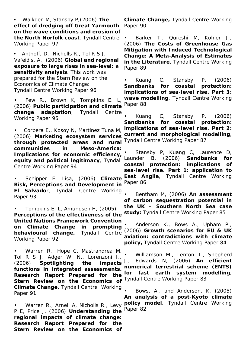• Walkden M, Stansby P,(2006) **The effect of dredging off Great Yarmouth on the wave conditions and erosion of the North Norfolk coast**. Tyndall Centre Working Paper 97

• Anthoff, D., Nicholls R., Tol R S J, Vafeidis, A., (2006) **Global and regional exposure to large rises in sea-level: a sensitivity analysis**. This work was prepared for the Stern Review on the Economics of Climate Change: Tyndall Centre Working Paper 96

• Few R., Brown K, Tompkins E. L, (2006) **Public participation and climate change adaptation**, Tyndall Centre Working Paper 95

• Corbera E., Kosoy N, Martinez Tuna M, (2006) **Marketing ecosystem services through protected areas and rural communities in Meso-America: Implications for economic efficiency,**  $\frac{1}{2}$  and notified logitimagy. Typical Launder **equity and political legitimacy**, Tyndall Centre Working Paper 94

• Schipper E. Lisa, (2006) **Climate Risk, Perceptions and Development in El Salvado**r, Tyndall Centre Working Paper 93

• Tompkins E. L, Amundsen H, (2005) **Perceptions of the effectiveness of the United Nations Framework Convention on Climate Change in prompting behavioural change**, Tyndall Centre Working Paper 92

• Warren R., Hope C, Mastrandrea M, Tol R S J, Adger W. N., Lorenzoni I., (2006) **Spotlighting the impacts functions in integrated assessments. Research Report Prepared for the Stern Review on the Economics of Climate Change**, Tyndall Centre Working Paper 91

• Warren R., Arnell A, Nicholls R., Levy P E, Price J, (2006) **Understanding the regional impacts of climate change: Research Report Prepared for the Stern Review on the Economics of** 

**Climate Change,** Tyndall Centre Working Paper 90

• Barker T., Qureshi M, Kohler J., (2006) **The Costs of Greenhouse Gas Mitigation with Induced Technological Change: A Meta-Analysis of Estimates in the Literature**, Tyndall Centre Working Paper 89

• Kuang C, Stansby P, (2006) **Sandbanks for coastal protection: implications of sea-level rise. Part 3: wave modelling**, Tyndall Centre Working Paper 88

• Kuang C, Stansby P, (2006) **Sandbanks for coastal protection: implications of sea-level rise. Part 2: current and morphological modelling**, Tyndall Centre Working Paper 87

Stansby P, Kuang C, Laurence D, B, (2006) **Sandbanks for coastal protection: implications of sea-level rise. Part 1: application to East Anglia**, Tyndall Centre Working Paper 86

• Bentham M, (2006) **An assessment of carbon sequestration potential in the UK – Southern North Sea case study:** Tyndall Centre Working Paper 85

• Anderson K., Bows A., Upham P., (2006) **Growth scenarios for EU & UK aviation: contradictions with climate policy,** Tyndall Centre Working Paper 84

• Williamson M., Lenton T., Shepherd J., Edwards N, (2006) **An efficient numerical terrestrial scheme (ENTS) for fast earth system modelling**, Tyndall Centre Working Paper 83

• Bows, A., and Anderson, K. (2005) **An analysis of a post-Kyoto climate policy model**, Tyndall Centre Working Paper 82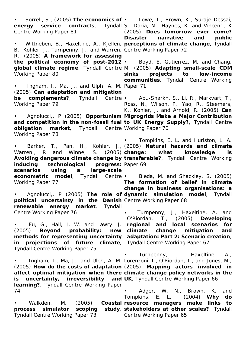• Sorrell, S., (2005) **The economics of**  • Lowe, T., Brown, K., Suraje Dessai, Centre Working Paper 81

B., Köhler, J., Turnpenny, J., and Warren, Centre Working Paper 72 R., (2005) **A framework for assessing the political economy of post-2012**  • Boyd, E. Gutierrez, M. and Chang, **global climate regime**, Tyndall Centre M. (2005) **Adapting small-scale CDM**  Working Paper 80

• Ingham, I., Ma, J., and Ulph, A. M. Paper 71 (2005) **Can adaptation and mitigation**  Working Paper 79

• Agnolucci,. P (2005) **Opportunism Migrogrids Make a Major Contribution and competition in the non-fossil fuel to UK Energy Supply?**, Tyndall Centre **obligation market**, Tyndall Centre Working Paper 70 Working Paper 78

• Barker, T., Pan, H., Köhler, J., (2005) **Natural hazards and climate**  Warren., R and Winne, S. (2005) **change: what knowledge is Avoiding dangerous climate change by transferable?**, Tyndall Centre Working **inducing** technological **scenarios using a large-scale econometric model**, Tyndall Centre • Working Paper 77 progress: Paper 69

**political uncertainty in the Danish**  Centre Working Paper 68 **renewable energy market**, Tyndall Centre Working Paper 76

• Fu, G., Hall, J. W. and Lawry, J. **regional and local scenarios for**  (2005) **Beyond probability: new climate change mitigation and methods for representing uncertainty adaptation: Part 2: Scenario creation**, **in projections of future climate**, Tyndall Centre Working Paper 67 Tyndall Centre Working Paper 75

**is** uncertainty, irreversibility and UK, Tyndall Centre Working Paper 66 **learning?**, Tyndall Centre Working Paper 74

Tyndall Centre Working Paper 73

**energy service contracts**, Tyndall S., Doria, M., Haynes, K. and Vincent., K • Wittneben, B., Haxeltine, A., Kjellen, **perceptions of climate change**, Tyndall (2005) **Does tomorrow ever come? Disaster narrative and public** 

> **sinks projects to low-income communities**, Tyndall Centre Working

**be complements?**, Tyndall Centre • Abu-Sharkh, S., Li, R., Markvart, T., Ross, N., Wilson, P., Yao, R., Steemers, K., Kohler, J. and Arnold, R. (2005) **Can** 

• Tompkins, E. L. and Hurlston, L. A.

• Agnolucci,. P (2005) **The role of dynamic simulation model**, Tyndall • Bleda, M. and Shackley, S. (2005) **The formation of belief in climate change in business organisations: a** 

> • Turnpenny, J., Haxeltine, A. and O'Riordan, T., (2005) **Developing**

• Ingham, I., Ma, J., and Ulph, A. M. Lorenzoni, I., O'Riordan, T., and Jones, M., (2005) **How do the costs of adaptation**  (2005) **Mapping actors involved in affect optimal mitigation when there climate change policy networks in the**  • Turnpenny, J., Haxeltine, A.,

• Walkden, M. (2005) **Coastal resource managers make links to process simulator scoping study**, **stakeholders at other scales?**, Tyndall • Adger, W. N., Brown, K. and Tompkins, E. L. (2004) **Why do**  Centre Working Paper 65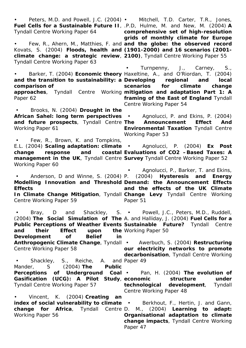• Peters, M.D. and Powell, J.C. (2004) • Mitchell, T.D. Carter, T.R., Jones, **Fuel Cells for a Sustainable Future II**, .P.D, Hulme, M. and New, M. (2004) **A** Tyndall Centre Working Paper 64 • Few, R., Ahern, M., Matthies, F. and **and the globe: the observed record**  Kovats, S. (2004) **Floods, health and (1901-2000) and 16 scenarios (2001 climate change: a strategic review**, **2100)**, Tyndall Centre Working Paper 55 Tyndall Centre Working Paper 63 • Barker, T. (2004) **Economic theory**  Haxeltine, A., and O'Riordan, T. (2004) **and the transition to sustainability: a Developing regional and local comparison of approaches**, Tyndall Centre Working **mitigation and adaptation Part 1: A**  Paper 62 • Brooks, N. (2004) **Drought in the African Sahel: long term perspectives**  • Agnolucci, P. and Ekins, P. (2004) and future prospects, Tyndall Centre The Announcement Effect And Working Paper 61 • Few, R., Brown, K. and Tompkins, E.L. (2004) **Scaling adaptation: climate**  • Agnolucci, P. (2004) **Ex Post change response and coastal Evaluations of CO2 –Based Taxes: A**  management in the UK, Tyndall Centre Survey Tyndall Centre Working Paper 52 Working Paper 60 • Anderson, D and Winne, S. (2004) P. (2004) **Hysteresis and Energy Modelling Innovation and Threshold Demand: the Announcement Effects Effects**  In Climate Change Mitigation, Tyndall Change Levy Tyndall Centre Working Centre Working Paper 59 • Bray, D and Shackley, S. • Powell, J.C., Peters, M.D., Ruddell, (2004) **The Social Simulation of The**  A. and Halliday, J. (2004) **Fuel Cells for a Public Perceptions of Weather Events Sustainable Future?** Tyndall Centre and their Effect upon **Development of Belief in Anthropogenic Climate Change**, Tyndall • Awerbuch, S. (2004) **Restructuring**  Centre Working Paper 58 • Shackley, S., Reiche, Mander, S (2004) **The Public Perceptions of Underground Coal**  • Pan, H. (2004) **The evolution of**  Gasification (UCG): A Pilot Study, economic structure under Tyndall Centre Working Paper 57 • Vincent, K. (2004) **Creating an index of social vulnerability to climate** • Berkhout, F., Hertin, J. and Gann, **change for Africa**, Tyndall Centre D. M., (2004) **Learning to adapt:**  Working Paper 56 **comprehensive set of high-resolution grids of monthly climate for Europe**  • Turnpenny, J., Carney, S., **scenarios for climate change framing of the East of England** Tyndall Centre Working Paper 54 **Environmental Taxation** Tyndall Centre Working Paper 53 • Agnolucci, P., Barker, T. and Ekins, **and the effects of the UK Climate**  Paper 51 the Working Paper 50 **our electricity networks to promote decarbonisation**, Tyndall Centre Working A. and Paper 49 **technological development**, Tyndall Centre Working Paper 48 **Organisational adaptation to climate change impacts**, Tyndall Centre Working Paper 47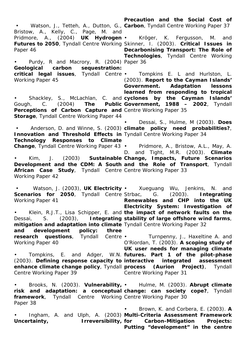• Watson, J., Tetteh, A., Dutton, G., **Carbon**, Tyndall Centre Working Paper 37 Bristow, A., Kelly, C., Page, M. and Pridmore, A., (2004) **UK Hydrogen**  • Kröger, K. Fergusson, M. and **Futures to 2050**, Tyndall Centre Working Skinner, I. (2003). **Critical Issues in**  Paper 46 • Purdy, R and Macrory, R. (2004) Paper 36 **Geological carbon sequestration: critical legal issues**, Tyndall Centre • Tompkins E. L and Hurlston, L. Working Paper 45 • Shackley, S., McLachlan, C. and **cyclones by the Cayman Islands'**  Gough, C. (2004) The Public Government, 1988 - 2002, Tyndall Perceptions of Carbon Capture and Centre Working Paper 35 **Storage**, Tyndall Centre Working Paper 44 • Anderson, D. and Winne, S. (2003) **climate policy need probabilities?**, **Innovation and Threshold Effects in** Tyndall Centre Working Paper 34 **Technology Responses to Climate Change**, Tyndall Centre Working Paper 43 • Kim, J. (2003) **Sustainable Change, Impacts, Future Scenarios Development and the CDM: A South and the Role of Transport**, Tyndall African Case Study, Tyndall Centre Centre Working Paper 33 Working Paper 42 • Watson, J. (2003), **UK Electricity**  • Xueguang Wu, Jenkins, N. and **Scenarios for 2050**, Tyndall Centre Strbac, Working Paper 41 • Klein, R.J.T., Lisa Schipper, E. and **the impact of network faults on the**  Dessai, S. (2003), Integrating stability of large offshore wind farms, **mitigation and adaptation into climate**  Tyndall Centre Working Paper 32 **and development policy: three research questions**, Tyndall Centre • Working Paper 40 • Tompkins, E. and Adger, W.N. **futures. Part 1 of the pilot-phase**  (2003). Defining response capacity to interactive integrated assessment **enhance climate change policy**, Tyndall Centre Working Paper 39 • Brooks, N. (2003). **Vulnerability,**  • Hulme, M. (2003). **Abrupt climate risk and adaptation: a conceptual change: can society cope?, Tyndall framework**, Tyndall Centre Working Centre Working Paper 30 Paper 38 • Ingham, A. and Ulph, A. (2003) **Multi-Criteria Assessment Framework**  Uncertainty, **Irreversibility**, for **Precaution and the Social Cost of Decarbonising Transport: The Role of Technologies**, Tyndall Centre Working (2003). **Report to the Cayman Islands' Government. Adaptation lessons learned from responding to tropical**  • Dessai, S., Hulme, M (2003). **Does**  • Pridmore, A., Bristow, A.L., May, A. D. and Tight, M.R. (2003). **Climate**  G. (2003). **Integrating Renewables and CHP into the UK Electricity System: Investigation of**  • Turnpenny, J., Haxeltine A. and O'Riordan, T. (2003). **A scoping study of UK user needs for managing climate (Aurion Project)**, Tyndall Centre Working Paper 31 • Brown, K. and Corbera, E. (2003). **A for Carbon-Mitigation Projects: Putting "development" in the centre**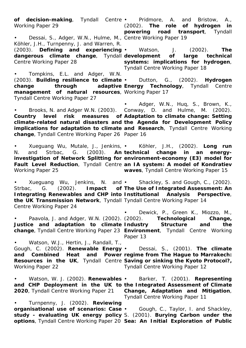**of decision-making**, Tyndall Centre • Pridmore, A. and Bristow, A., Working Paper 29 • Dessai, S., Adger, W.N., Hulme, M., Centre Working Paper 19 Köhler, J.H., Turnpenny, J. and Warren, R. (2003). **Defining and experiencing**  • Watson, J. (2002). **The dangerous climate change**, Tyndall **development of large technical**  Centre Working Paper 28 • Tompkins, E.L. and Adger, W.N. (2003). **Building resilience to climate**  • Dutton, G., (2002). **Hydrogen change through adaptive Energy Technology**, Tyndall Centre **management of natural resources**, Working Paper 17 Tyndall Centre Working Paper 27 • Brooks, N. and Adger W.N. (2003). Conway, D. and Hulme, M. (2002). **Country level risk measures of Adaptation to climate change: Setting climate-related natural disasters and the Agenda for Development Policy implications for adaptation to climate and Research**, Tyndall Centre Working **change**, Tyndall Centre Working Paper 26 Paper 16 • Xueguang Wu, Mutale, J., Jenkins, • N. and Strbac, G. (2003). **An-technical change in an energy**investigation of Network Splitting for environment-economy (E3) model for **Fault Level Reduction**, Tyndall Centre **an IA system: A model of Kondratiev**  Working Paper 25 • Xueguang Wu, Jenkins, N. and • Shackley, S. and Gough, C., (2002). Strbac, G. (2002). **Impact of The Use of Integrated Assessment: An Integrating Renewables and CHP into Institutional Analysis Perspective, the UK Transmission Network**, Tyndall Tyndall Centre Working Paper 14 Centre Working Paper 24 • Paavola, J. and Adger, W.N. (2002). (2002). **Technological Change, Justice and adaptation to climate Industry Structure and the change**, Tyndall Centre Working Paper 23 **Environment**, Tyndall Centre Working • Watson, W.J., Hertin, J., Randall, T., Gough, C. (2002). **Renewable Energy**  • Dessai, S., (2001). **The climate and Combined Heat and Power regime from The Hague to Marrakech: Resources in the UK**, Tyndall Centre **Saving or sinking the Kyoto Protocol?,**  Working Paper 22 • Watson, W. J. (2002). **Renewables**  • Barker, T. (2001). **Representing and CHP Deployment in the UK to the Integrated Assessment of Climate 2020**, Tyndall Centre Working Paper 21 **Change, Adaptation and Mitigation**, • Turnpenny, J. (2002). **Reviewing organisational use of scenarios: Case**  • Gough, C., Taylor, I. and Shackley, **study - evaluating UK energy policy**  S. (2001). **Burying Carbon under the options**, Tyndall Centre Working Paper 20 **Sea: An Initial Exploration of Public** (2002). **The role of hydrogen in powering road transport**, Tyndall **systems: implications for hydrogen**, Tyndall Centre Working Paper 18 • Adger, W.N., Huq, S., Brown, K., • Köhler, J.H., (2002). **Long run waves**, Tyndall Centre Working Paper 15 • Dewick, P., Green K., Miozzo, M., Paper 13 Tyndall Centre Working Paper 12 Tyndall Centre Working Paper 11